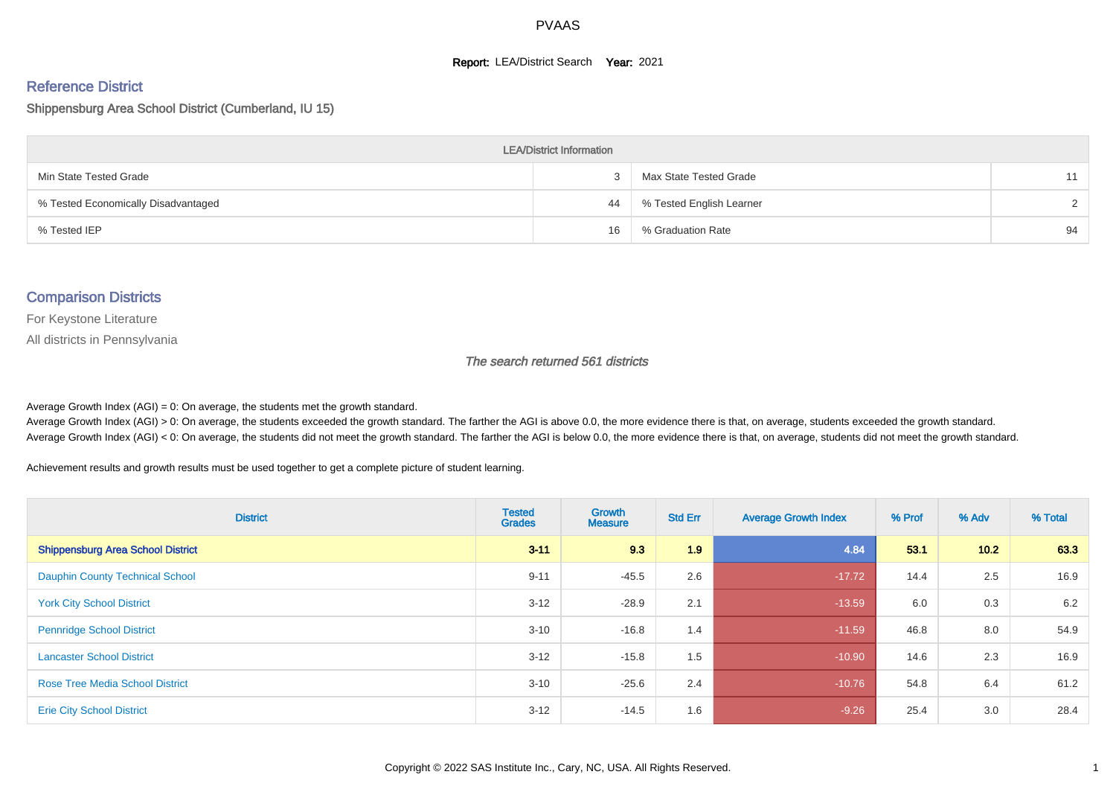#### **Report: LEA/District Search Year: 2021**

# Reference District

#### Shippensburg Area School District (Cumberland, IU 15)

| <b>LEA/District Information</b>     |    |                          |        |  |  |  |  |  |  |  |
|-------------------------------------|----|--------------------------|--------|--|--|--|--|--|--|--|
| Min State Tested Grade              |    | Max State Tested Grade   | 11     |  |  |  |  |  |  |  |
| % Tested Economically Disadvantaged | 44 | % Tested English Learner | $\sim$ |  |  |  |  |  |  |  |
| % Tested IEP                        | 16 | % Graduation Rate        | 94     |  |  |  |  |  |  |  |

#### Comparison Districts

For Keystone Literature

All districts in Pennsylvania

The search returned 561 districts

Average Growth Index  $(AGI) = 0$ : On average, the students met the growth standard.

Average Growth Index (AGI) > 0: On average, the students exceeded the growth standard. The farther the AGI is above 0.0, the more evidence there is that, on average, students exceeded the growth standard. Average Growth Index (AGI) < 0: On average, the students did not meet the growth standard. The farther the AGI is below 0.0, the more evidence there is that, on average, students did not meet the growth standard.

Achievement results and growth results must be used together to get a complete picture of student learning.

| <b>District</b>                          | <b>Tested</b><br><b>Grades</b> | <b>Growth</b><br><b>Measure</b> | <b>Std Err</b> | <b>Average Growth Index</b> | % Prof | % Adv | % Total |
|------------------------------------------|--------------------------------|---------------------------------|----------------|-----------------------------|--------|-------|---------|
| <b>Shippensburg Area School District</b> | $3 - 11$                       | 9.3                             | 1.9            | 4.84                        | 53.1   | 10.2  | 63.3    |
| <b>Dauphin County Technical School</b>   | $9 - 11$                       | $-45.5$                         | 2.6            | $-17.72$                    | 14.4   | 2.5   | 16.9    |
| <b>York City School District</b>         | $3 - 12$                       | $-28.9$                         | 2.1            | $-13.59$                    | 6.0    | 0.3   | 6.2     |
| <b>Pennridge School District</b>         | $3 - 10$                       | $-16.8$                         | 1.4            | $-11.59$                    | 46.8   | 8.0   | 54.9    |
| <b>Lancaster School District</b>         | $3 - 12$                       | $-15.8$                         | 1.5            | $-10.90$                    | 14.6   | 2.3   | 16.9    |
| <b>Rose Tree Media School District</b>   | $3 - 10$                       | $-25.6$                         | 2.4            | $-10.76$                    | 54.8   | 6.4   | 61.2    |
| <b>Erie City School District</b>         | $3 - 12$                       | $-14.5$                         | 1.6            | $-9.26$                     | 25.4   | 3.0   | 28.4    |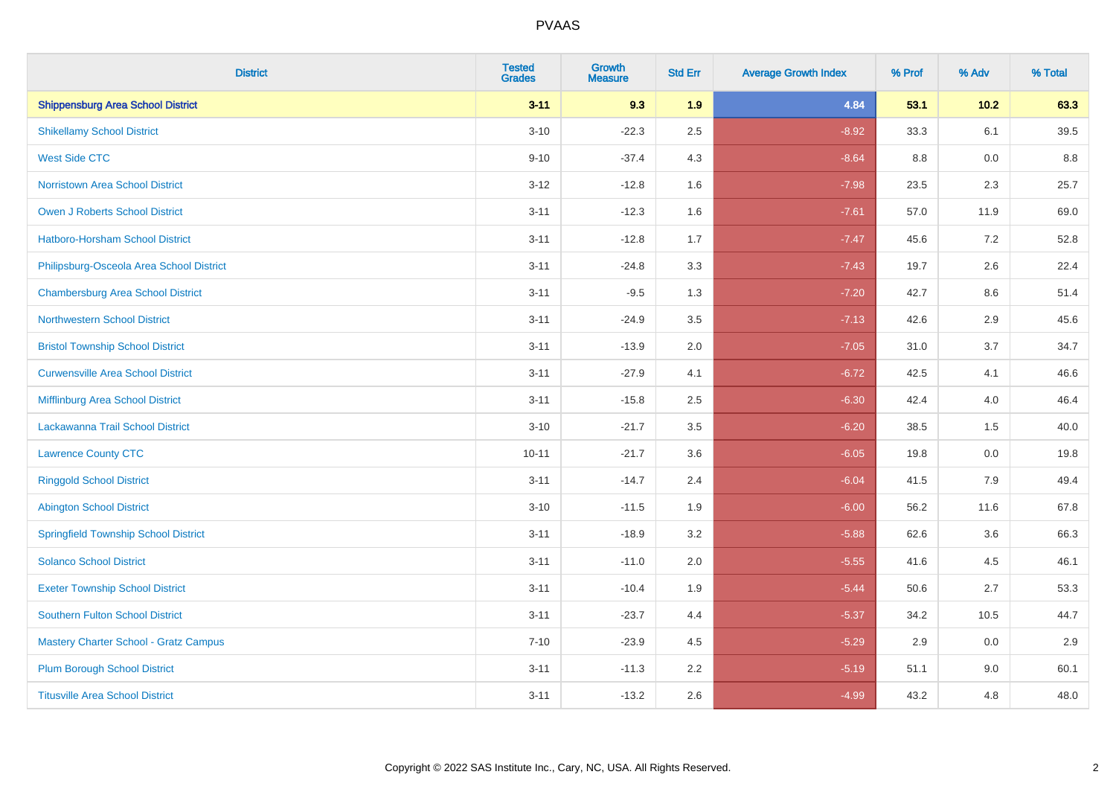| <b>District</b>                              | <b>Tested</b><br><b>Grades</b> | <b>Growth</b><br><b>Measure</b> | <b>Std Err</b> | <b>Average Growth Index</b> | % Prof | % Adv  | % Total |
|----------------------------------------------|--------------------------------|---------------------------------|----------------|-----------------------------|--------|--------|---------|
| <b>Shippensburg Area School District</b>     | $3 - 11$                       | 9.3                             | 1.9            | 4.84                        | 53.1   | $10.2$ | 63.3    |
| <b>Shikellamy School District</b>            | $3 - 10$                       | $-22.3$                         | 2.5            | $-8.92$                     | 33.3   | 6.1    | 39.5    |
| <b>West Side CTC</b>                         | $9 - 10$                       | $-37.4$                         | 4.3            | $-8.64$                     | 8.8    | 0.0    | 8.8     |
| <b>Norristown Area School District</b>       | $3 - 12$                       | $-12.8$                         | 1.6            | $-7.98$                     | 23.5   | 2.3    | 25.7    |
| Owen J Roberts School District               | $3 - 11$                       | $-12.3$                         | 1.6            | $-7.61$                     | 57.0   | 11.9   | 69.0    |
| <b>Hatboro-Horsham School District</b>       | $3 - 11$                       | $-12.8$                         | 1.7            | $-7.47$                     | 45.6   | 7.2    | 52.8    |
| Philipsburg-Osceola Area School District     | $3 - 11$                       | $-24.8$                         | 3.3            | $-7.43$                     | 19.7   | 2.6    | 22.4    |
| <b>Chambersburg Area School District</b>     | $3 - 11$                       | $-9.5$                          | 1.3            | $-7.20$                     | 42.7   | 8.6    | 51.4    |
| <b>Northwestern School District</b>          | $3 - 11$                       | $-24.9$                         | 3.5            | $-7.13$                     | 42.6   | 2.9    | 45.6    |
| <b>Bristol Township School District</b>      | $3 - 11$                       | $-13.9$                         | 2.0            | $-7.05$                     | 31.0   | 3.7    | 34.7    |
| <b>Curwensville Area School District</b>     | $3 - 11$                       | $-27.9$                         | 4.1            | $-6.72$                     | 42.5   | 4.1    | 46.6    |
| Mifflinburg Area School District             | $3 - 11$                       | $-15.8$                         | 2.5            | $-6.30$                     | 42.4   | 4.0    | 46.4    |
| Lackawanna Trail School District             | $3 - 10$                       | $-21.7$                         | 3.5            | $-6.20$                     | 38.5   | 1.5    | 40.0    |
| <b>Lawrence County CTC</b>                   | $10 - 11$                      | $-21.7$                         | 3.6            | $-6.05$                     | 19.8   | 0.0    | 19.8    |
| <b>Ringgold School District</b>              | $3 - 11$                       | $-14.7$                         | 2.4            | $-6.04$                     | 41.5   | 7.9    | 49.4    |
| <b>Abington School District</b>              | $3 - 10$                       | $-11.5$                         | 1.9            | $-6.00$                     | 56.2   | 11.6   | 67.8    |
| <b>Springfield Township School District</b>  | $3 - 11$                       | $-18.9$                         | 3.2            | $-5.88$                     | 62.6   | 3.6    | 66.3    |
| <b>Solanco School District</b>               | $3 - 11$                       | $-11.0$                         | 2.0            | $-5.55$                     | 41.6   | 4.5    | 46.1    |
| <b>Exeter Township School District</b>       | $3 - 11$                       | $-10.4$                         | 1.9            | $-5.44$                     | 50.6   | 2.7    | 53.3    |
| <b>Southern Fulton School District</b>       | $3 - 11$                       | $-23.7$                         | 4.4            | $-5.37$                     | 34.2   | 10.5   | 44.7    |
| <b>Mastery Charter School - Gratz Campus</b> | $7 - 10$                       | $-23.9$                         | 4.5            | $-5.29$                     | 2.9    | 0.0    | 2.9     |
| <b>Plum Borough School District</b>          | $3 - 11$                       | $-11.3$                         | 2.2            | $-5.19$                     | 51.1   | 9.0    | 60.1    |
| <b>Titusville Area School District</b>       | $3 - 11$                       | $-13.2$                         | 2.6            | $-4.99$                     | 43.2   | 4.8    | 48.0    |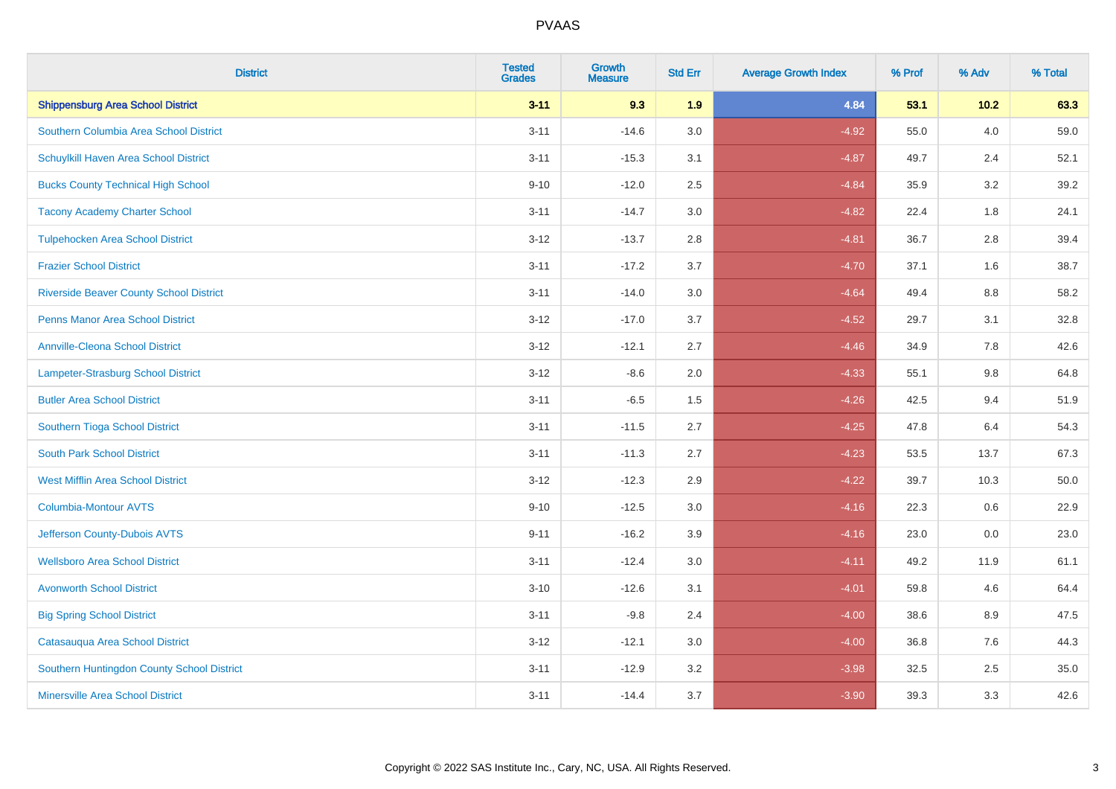| <b>District</b>                                | <b>Tested</b><br><b>Grades</b> | <b>Growth</b><br><b>Measure</b> | <b>Std Err</b> | <b>Average Growth Index</b> | % Prof | % Adv   | % Total |
|------------------------------------------------|--------------------------------|---------------------------------|----------------|-----------------------------|--------|---------|---------|
| <b>Shippensburg Area School District</b>       | $3 - 11$                       | 9.3                             | 1.9            | 4.84                        | 53.1   | $10.2$  | 63.3    |
| Southern Columbia Area School District         | $3 - 11$                       | $-14.6$                         | 3.0            | $-4.92$                     | 55.0   | 4.0     | 59.0    |
| Schuylkill Haven Area School District          | $3 - 11$                       | $-15.3$                         | 3.1            | $-4.87$                     | 49.7   | 2.4     | 52.1    |
| <b>Bucks County Technical High School</b>      | $9 - 10$                       | $-12.0$                         | 2.5            | $-4.84$                     | 35.9   | 3.2     | 39.2    |
| <b>Tacony Academy Charter School</b>           | $3 - 11$                       | $-14.7$                         | 3.0            | $-4.82$                     | 22.4   | 1.8     | 24.1    |
| <b>Tulpehocken Area School District</b>        | $3 - 12$                       | $-13.7$                         | 2.8            | $-4.81$                     | 36.7   | 2.8     | 39.4    |
| <b>Frazier School District</b>                 | $3 - 11$                       | $-17.2$                         | 3.7            | $-4.70$                     | 37.1   | 1.6     | 38.7    |
| <b>Riverside Beaver County School District</b> | $3 - 11$                       | $-14.0$                         | 3.0            | $-4.64$                     | 49.4   | 8.8     | 58.2    |
| <b>Penns Manor Area School District</b>        | $3 - 12$                       | $-17.0$                         | 3.7            | $-4.52$                     | 29.7   | 3.1     | 32.8    |
| <b>Annville-Cleona School District</b>         | $3 - 12$                       | $-12.1$                         | 2.7            | $-4.46$                     | 34.9   | 7.8     | 42.6    |
| <b>Lampeter-Strasburg School District</b>      | $3 - 12$                       | $-8.6$                          | 2.0            | $-4.33$                     | 55.1   | 9.8     | 64.8    |
| <b>Butler Area School District</b>             | $3 - 11$                       | $-6.5$                          | 1.5            | $-4.26$                     | 42.5   | 9.4     | 51.9    |
| Southern Tioga School District                 | $3 - 11$                       | $-11.5$                         | 2.7            | $-4.25$                     | 47.8   | 6.4     | 54.3    |
| <b>South Park School District</b>              | $3 - 11$                       | $-11.3$                         | 2.7            | $-4.23$                     | 53.5   | 13.7    | 67.3    |
| <b>West Mifflin Area School District</b>       | $3 - 12$                       | $-12.3$                         | 2.9            | $-4.22$                     | 39.7   | 10.3    | 50.0    |
| <b>Columbia-Montour AVTS</b>                   | $9 - 10$                       | $-12.5$                         | 3.0            | $-4.16$                     | 22.3   | $0.6\,$ | 22.9    |
| Jefferson County-Dubois AVTS                   | $9 - 11$                       | $-16.2$                         | 3.9            | $-4.16$                     | 23.0   | 0.0     | 23.0    |
| <b>Wellsboro Area School District</b>          | $3 - 11$                       | $-12.4$                         | 3.0            | $-4.11$                     | 49.2   | 11.9    | 61.1    |
| <b>Avonworth School District</b>               | $3 - 10$                       | $-12.6$                         | 3.1            | $-4.01$                     | 59.8   | 4.6     | 64.4    |
| <b>Big Spring School District</b>              | $3 - 11$                       | $-9.8$                          | 2.4            | $-4.00$                     | 38.6   | 8.9     | 47.5    |
| Catasauqua Area School District                | $3 - 12$                       | $-12.1$                         | 3.0            | $-4.00$                     | 36.8   | 7.6     | 44.3    |
| Southern Huntingdon County School District     | $3 - 11$                       | $-12.9$                         | 3.2            | $-3.98$                     | 32.5   | 2.5     | 35.0    |
| <b>Minersville Area School District</b>        | $3 - 11$                       | $-14.4$                         | 3.7            | $-3.90$                     | 39.3   | 3.3     | 42.6    |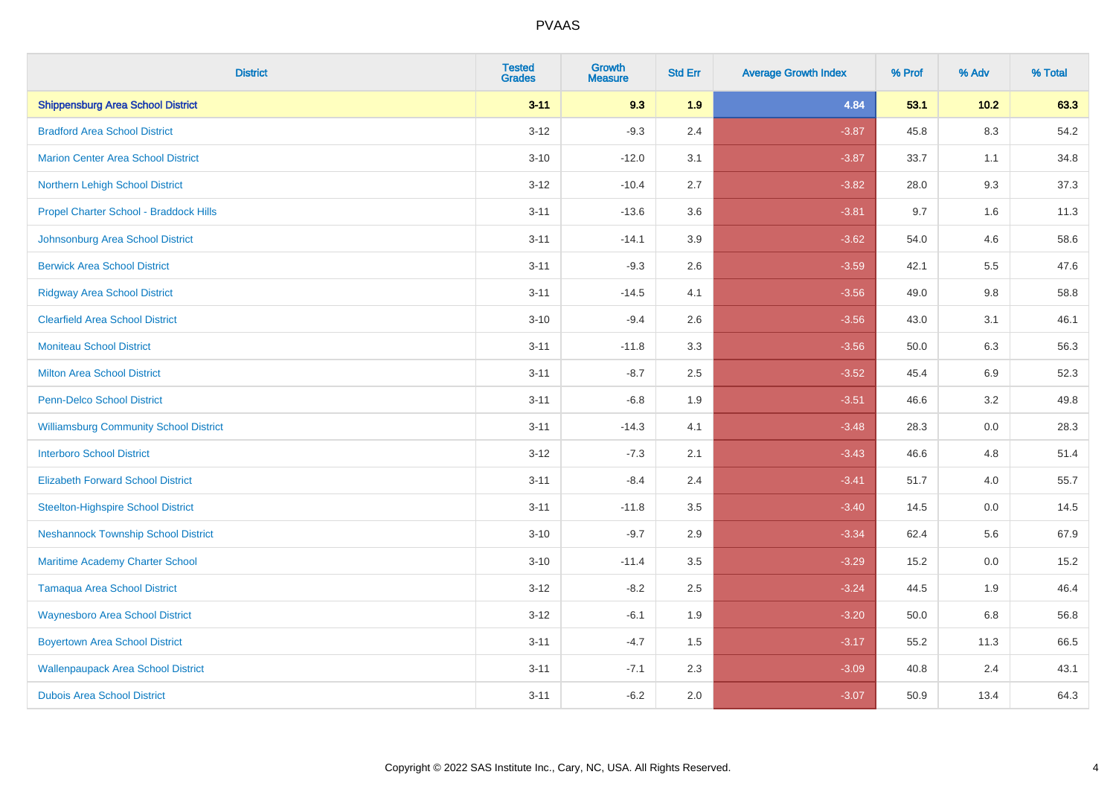| <b>District</b>                               | <b>Tested</b><br><b>Grades</b> | <b>Growth</b><br><b>Measure</b> | <b>Std Err</b> | <b>Average Growth Index</b> | % Prof | % Adv   | % Total |
|-----------------------------------------------|--------------------------------|---------------------------------|----------------|-----------------------------|--------|---------|---------|
| <b>Shippensburg Area School District</b>      | $3 - 11$                       | 9.3                             | 1.9            | 4.84                        | 53.1   | $10.2$  | 63.3    |
| <b>Bradford Area School District</b>          | $3 - 12$                       | $-9.3$                          | 2.4            | $-3.87$                     | 45.8   | $8.3\,$ | 54.2    |
| <b>Marion Center Area School District</b>     | $3 - 10$                       | $-12.0$                         | 3.1            | $-3.87$                     | 33.7   | 1.1     | 34.8    |
| Northern Lehigh School District               | $3 - 12$                       | $-10.4$                         | 2.7            | $-3.82$                     | 28.0   | 9.3     | 37.3    |
| Propel Charter School - Braddock Hills        | $3 - 11$                       | $-13.6$                         | 3.6            | $-3.81$                     | 9.7    | 1.6     | 11.3    |
| Johnsonburg Area School District              | $3 - 11$                       | $-14.1$                         | 3.9            | $-3.62$                     | 54.0   | 4.6     | 58.6    |
| <b>Berwick Area School District</b>           | $3 - 11$                       | $-9.3$                          | 2.6            | $-3.59$                     | 42.1   | 5.5     | 47.6    |
| <b>Ridgway Area School District</b>           | $3 - 11$                       | $-14.5$                         | 4.1            | $-3.56$                     | 49.0   | 9.8     | 58.8    |
| <b>Clearfield Area School District</b>        | $3 - 10$                       | $-9.4$                          | 2.6            | $-3.56$                     | 43.0   | 3.1     | 46.1    |
| <b>Moniteau School District</b>               | $3 - 11$                       | $-11.8$                         | 3.3            | $-3.56$                     | 50.0   | 6.3     | 56.3    |
| <b>Milton Area School District</b>            | $3 - 11$                       | $-8.7$                          | 2.5            | $-3.52$                     | 45.4   | 6.9     | 52.3    |
| <b>Penn-Delco School District</b>             | $3 - 11$                       | $-6.8$                          | 1.9            | $-3.51$                     | 46.6   | 3.2     | 49.8    |
| <b>Williamsburg Community School District</b> | $3 - 11$                       | $-14.3$                         | 4.1            | $-3.48$                     | 28.3   | $0.0\,$ | 28.3    |
| <b>Interboro School District</b>              | $3 - 12$                       | $-7.3$                          | 2.1            | $-3.43$                     | 46.6   | 4.8     | 51.4    |
| <b>Elizabeth Forward School District</b>      | $3 - 11$                       | $-8.4$                          | 2.4            | $-3.41$                     | 51.7   | 4.0     | 55.7    |
| <b>Steelton-Highspire School District</b>     | $3 - 11$                       | $-11.8$                         | 3.5            | $-3.40$                     | 14.5   | $0.0\,$ | 14.5    |
| <b>Neshannock Township School District</b>    | $3 - 10$                       | $-9.7$                          | 2.9            | $-3.34$                     | 62.4   | 5.6     | 67.9    |
| Maritime Academy Charter School               | $3 - 10$                       | $-11.4$                         | 3.5            | $-3.29$                     | 15.2   | 0.0     | 15.2    |
| <b>Tamaqua Area School District</b>           | $3 - 12$                       | $-8.2$                          | 2.5            | $-3.24$                     | 44.5   | 1.9     | 46.4    |
| <b>Waynesboro Area School District</b>        | $3 - 12$                       | $-6.1$                          | 1.9            | $-3.20$                     | 50.0   | 6.8     | 56.8    |
| <b>Boyertown Area School District</b>         | $3 - 11$                       | $-4.7$                          | 1.5            | $-3.17$                     | 55.2   | 11.3    | 66.5    |
| <b>Wallenpaupack Area School District</b>     | $3 - 11$                       | $-7.1$                          | 2.3            | $-3.09$                     | 40.8   | 2.4     | 43.1    |
| <b>Dubois Area School District</b>            | $3 - 11$                       | $-6.2$                          | 2.0            | $-3.07$                     | 50.9   | 13.4    | 64.3    |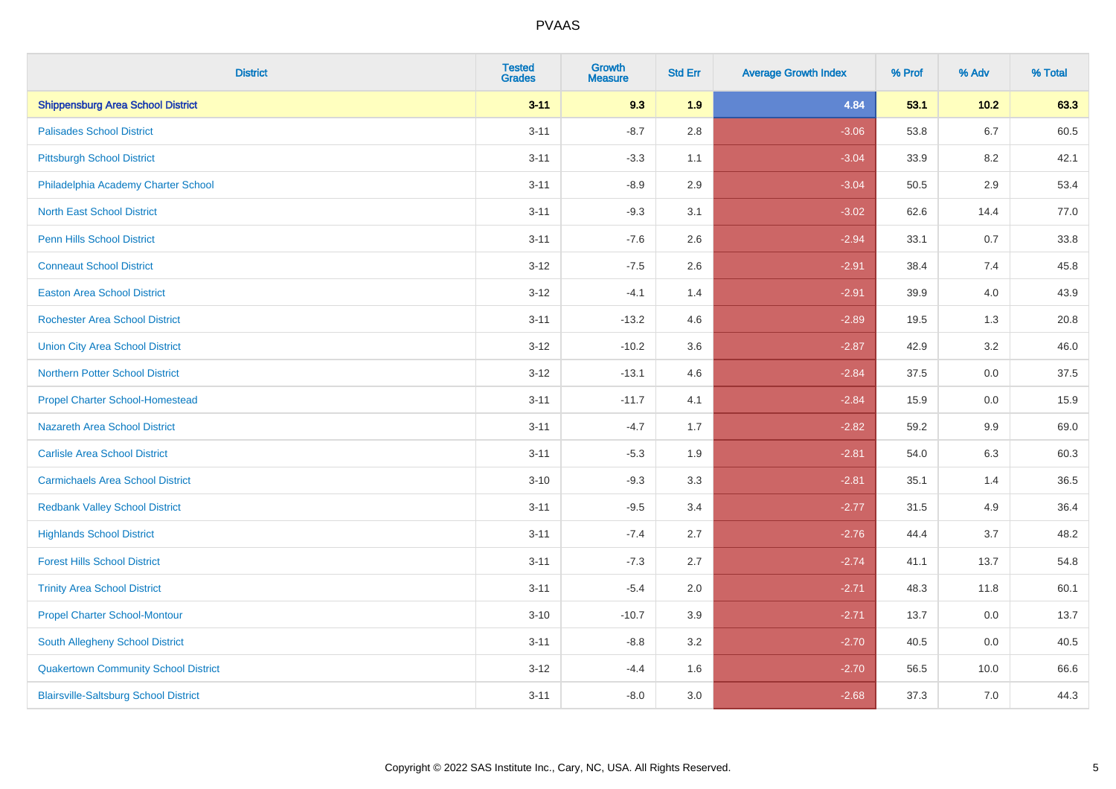| <b>District</b>                              | <b>Tested</b><br><b>Grades</b> | <b>Growth</b><br><b>Measure</b> | <b>Std Err</b> | <b>Average Growth Index</b> | % Prof | % Adv   | % Total |
|----------------------------------------------|--------------------------------|---------------------------------|----------------|-----------------------------|--------|---------|---------|
| <b>Shippensburg Area School District</b>     | $3 - 11$                       | 9.3                             | 1.9            | 4.84                        | 53.1   | 10.2    | 63.3    |
| <b>Palisades School District</b>             | $3 - 11$                       | $-8.7$                          | 2.8            | $-3.06$                     | 53.8   | $6.7\,$ | 60.5    |
| <b>Pittsburgh School District</b>            | $3 - 11$                       | $-3.3$                          | 1.1            | $-3.04$                     | 33.9   | 8.2     | 42.1    |
| Philadelphia Academy Charter School          | $3 - 11$                       | $-8.9$                          | 2.9            | $-3.04$                     | 50.5   | 2.9     | 53.4    |
| <b>North East School District</b>            | $3 - 11$                       | $-9.3$                          | 3.1            | $-3.02$                     | 62.6   | 14.4    | 77.0    |
| <b>Penn Hills School District</b>            | $3 - 11$                       | $-7.6$                          | 2.6            | $-2.94$                     | 33.1   | 0.7     | 33.8    |
| <b>Conneaut School District</b>              | $3 - 12$                       | $-7.5$                          | 2.6            | $-2.91$                     | 38.4   | 7.4     | 45.8    |
| <b>Easton Area School District</b>           | $3 - 12$                       | $-4.1$                          | 1.4            | $-2.91$                     | 39.9   | 4.0     | 43.9    |
| Rochester Area School District               | $3 - 11$                       | $-13.2$                         | 4.6            | $-2.89$                     | 19.5   | 1.3     | 20.8    |
| <b>Union City Area School District</b>       | $3 - 12$                       | $-10.2$                         | 3.6            | $-2.87$                     | 42.9   | 3.2     | 46.0    |
| <b>Northern Potter School District</b>       | $3 - 12$                       | $-13.1$                         | 4.6            | $-2.84$                     | 37.5   | 0.0     | 37.5    |
| <b>Propel Charter School-Homestead</b>       | $3 - 11$                       | $-11.7$                         | 4.1            | $-2.84$                     | 15.9   | 0.0     | 15.9    |
| <b>Nazareth Area School District</b>         | $3 - 11$                       | $-4.7$                          | 1.7            | $-2.82$                     | 59.2   | 9.9     | 69.0    |
| <b>Carlisle Area School District</b>         | $3 - 11$                       | $-5.3$                          | 1.9            | $-2.81$                     | 54.0   | 6.3     | 60.3    |
| <b>Carmichaels Area School District</b>      | $3 - 10$                       | $-9.3$                          | 3.3            | $-2.81$                     | 35.1   | 1.4     | 36.5    |
| <b>Redbank Valley School District</b>        | $3 - 11$                       | $-9.5$                          | 3.4            | $-2.77$                     | 31.5   | 4.9     | 36.4    |
| <b>Highlands School District</b>             | $3 - 11$                       | $-7.4$                          | 2.7            | $-2.76$                     | 44.4   | 3.7     | 48.2    |
| <b>Forest Hills School District</b>          | $3 - 11$                       | $-7.3$                          | 2.7            | $-2.74$                     | 41.1   | 13.7    | 54.8    |
| <b>Trinity Area School District</b>          | $3 - 11$                       | $-5.4$                          | 2.0            | $-2.71$                     | 48.3   | 11.8    | 60.1    |
| <b>Propel Charter School-Montour</b>         | $3 - 10$                       | $-10.7$                         | 3.9            | $-2.71$                     | 13.7   | 0.0     | 13.7    |
| South Allegheny School District              | $3 - 11$                       | $-8.8$                          | 3.2            | $-2.70$                     | 40.5   | 0.0     | 40.5    |
| <b>Quakertown Community School District</b>  | $3 - 12$                       | $-4.4$                          | 1.6            | $-2.70$                     | 56.5   | 10.0    | 66.6    |
| <b>Blairsville-Saltsburg School District</b> | $3 - 11$                       | $-8.0$                          | 3.0            | $-2.68$                     | 37.3   | 7.0     | 44.3    |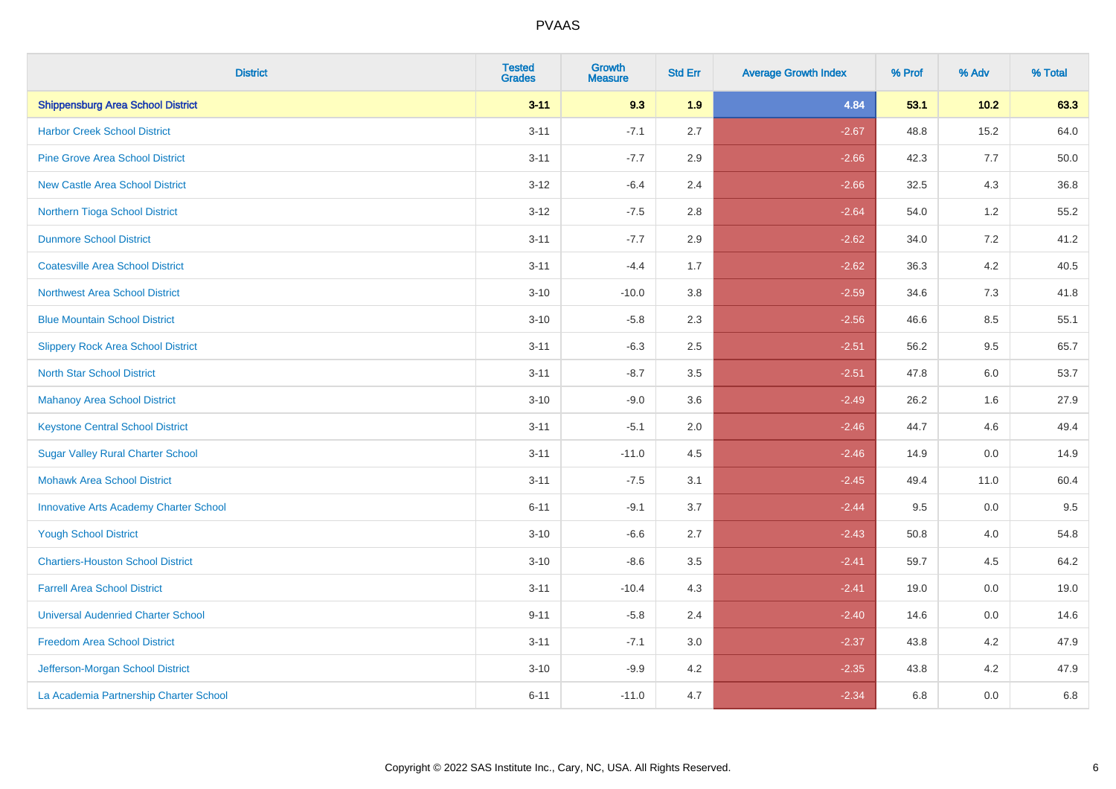| <b>District</b>                               | <b>Tested</b><br><b>Grades</b> | Growth<br><b>Measure</b> | <b>Std Err</b> | <b>Average Growth Index</b> | % Prof | % Adv   | % Total |
|-----------------------------------------------|--------------------------------|--------------------------|----------------|-----------------------------|--------|---------|---------|
| <b>Shippensburg Area School District</b>      | $3 - 11$                       | 9.3                      | 1.9            | 4.84                        | 53.1   | $10.2$  | 63.3    |
| <b>Harbor Creek School District</b>           | $3 - 11$                       | $-7.1$                   | 2.7            | $-2.67$                     | 48.8   | 15.2    | 64.0    |
| <b>Pine Grove Area School District</b>        | $3 - 11$                       | $-7.7$                   | 2.9            | $-2.66$                     | 42.3   | 7.7     | 50.0    |
| <b>New Castle Area School District</b>        | $3 - 12$                       | $-6.4$                   | 2.4            | $-2.66$                     | 32.5   | $4.3$   | 36.8    |
| Northern Tioga School District                | $3 - 12$                       | $-7.5$                   | 2.8            | $-2.64$                     | 54.0   | 1.2     | 55.2    |
| <b>Dunmore School District</b>                | $3 - 11$                       | $-7.7$                   | 2.9            | $-2.62$                     | 34.0   | 7.2     | 41.2    |
| <b>Coatesville Area School District</b>       | $3 - 11$                       | $-4.4$                   | 1.7            | $-2.62$                     | 36.3   | $4.2\,$ | 40.5    |
| <b>Northwest Area School District</b>         | $3 - 10$                       | $-10.0$                  | 3.8            | $-2.59$                     | 34.6   | 7.3     | 41.8    |
| <b>Blue Mountain School District</b>          | $3 - 10$                       | $-5.8$                   | 2.3            | $-2.56$                     | 46.6   | 8.5     | 55.1    |
| <b>Slippery Rock Area School District</b>     | $3 - 11$                       | $-6.3$                   | 2.5            | $-2.51$                     | 56.2   | $9.5\,$ | 65.7    |
| <b>North Star School District</b>             | $3 - 11$                       | $-8.7$                   | 3.5            | $-2.51$                     | 47.8   | 6.0     | 53.7    |
| <b>Mahanoy Area School District</b>           | $3 - 10$                       | $-9.0$                   | 3.6            | $-2.49$                     | 26.2   | 1.6     | 27.9    |
| <b>Keystone Central School District</b>       | $3 - 11$                       | $-5.1$                   | 2.0            | $-2.46$                     | 44.7   | 4.6     | 49.4    |
| <b>Sugar Valley Rural Charter School</b>      | $3 - 11$                       | $-11.0$                  | 4.5            | $-2.46$                     | 14.9   | $0.0\,$ | 14.9    |
| <b>Mohawk Area School District</b>            | $3 - 11$                       | $-7.5$                   | 3.1            | $-2.45$                     | 49.4   | 11.0    | 60.4    |
| <b>Innovative Arts Academy Charter School</b> | $6 - 11$                       | $-9.1$                   | 3.7            | $-2.44$                     | 9.5    | 0.0     | 9.5     |
| <b>Yough School District</b>                  | $3 - 10$                       | $-6.6$                   | 2.7            | $-2.43$                     | 50.8   | 4.0     | 54.8    |
| <b>Chartiers-Houston School District</b>      | $3 - 10$                       | $-8.6$                   | 3.5            | $-2.41$                     | 59.7   | 4.5     | 64.2    |
| <b>Farrell Area School District</b>           | $3 - 11$                       | $-10.4$                  | 4.3            | $-2.41$                     | 19.0   | 0.0     | 19.0    |
| <b>Universal Audenried Charter School</b>     | $9 - 11$                       | $-5.8$                   | 2.4            | $-2.40$                     | 14.6   | 0.0     | 14.6    |
| <b>Freedom Area School District</b>           | $3 - 11$                       | $-7.1$                   | 3.0            | $-2.37$                     | 43.8   | 4.2     | 47.9    |
| Jefferson-Morgan School District              | $3 - 10$                       | $-9.9$                   | 4.2            | $-2.35$                     | 43.8   | 4.2     | 47.9    |
| La Academia Partnership Charter School        | $6 - 11$                       | $-11.0$                  | 4.7            | $-2.34$                     | 6.8    | 0.0     | 6.8     |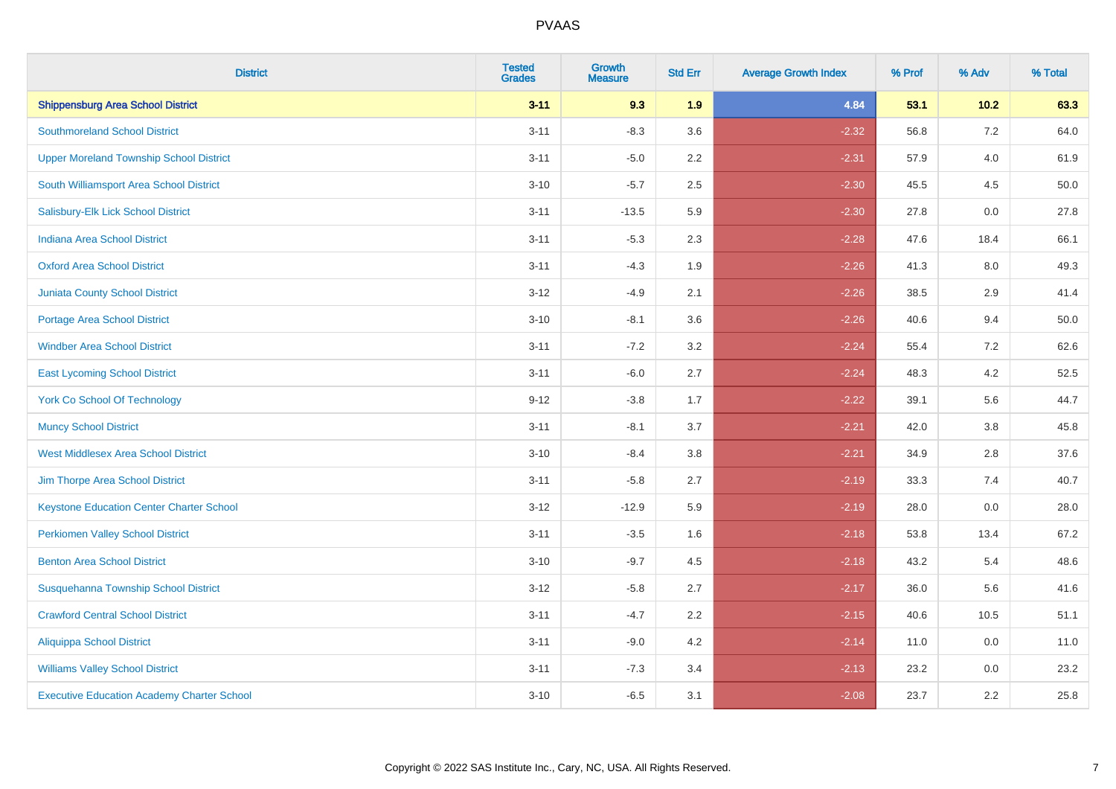| <b>District</b>                                   | <b>Tested</b><br><b>Grades</b> | <b>Growth</b><br><b>Measure</b> | <b>Std Err</b> | <b>Average Growth Index</b> | % Prof | % Adv   | % Total |
|---------------------------------------------------|--------------------------------|---------------------------------|----------------|-----------------------------|--------|---------|---------|
| <b>Shippensburg Area School District</b>          | $3 - 11$                       | 9.3                             | 1.9            | 4.84                        | 53.1   | $10.2$  | 63.3    |
| <b>Southmoreland School District</b>              | $3 - 11$                       | $-8.3$                          | 3.6            | $-2.32$                     | 56.8   | $7.2\,$ | 64.0    |
| <b>Upper Moreland Township School District</b>    | $3 - 11$                       | $-5.0$                          | 2.2            | $-2.31$                     | 57.9   | 4.0     | 61.9    |
| South Williamsport Area School District           | $3 - 10$                       | $-5.7$                          | 2.5            | $-2.30$                     | 45.5   | 4.5     | 50.0    |
| Salisbury-Elk Lick School District                | $3 - 11$                       | $-13.5$                         | 5.9            | $-2.30$                     | 27.8   | 0.0     | 27.8    |
| Indiana Area School District                      | $3 - 11$                       | $-5.3$                          | 2.3            | $-2.28$                     | 47.6   | 18.4    | 66.1    |
| <b>Oxford Area School District</b>                | $3 - 11$                       | $-4.3$                          | 1.9            | $-2.26$                     | 41.3   | 8.0     | 49.3    |
| <b>Juniata County School District</b>             | $3 - 12$                       | $-4.9$                          | 2.1            | $-2.26$                     | 38.5   | 2.9     | 41.4    |
| <b>Portage Area School District</b>               | $3 - 10$                       | $-8.1$                          | 3.6            | $-2.26$                     | 40.6   | 9.4     | 50.0    |
| <b>Windber Area School District</b>               | $3 - 11$                       | $-7.2$                          | 3.2            | $-2.24$                     | 55.4   | 7.2     | 62.6    |
| <b>East Lycoming School District</b>              | $3 - 11$                       | $-6.0$                          | 2.7            | $-2.24$                     | 48.3   | 4.2     | 52.5    |
| <b>York Co School Of Technology</b>               | $9 - 12$                       | $-3.8$                          | 1.7            | $-2.22$                     | 39.1   | 5.6     | 44.7    |
| <b>Muncy School District</b>                      | $3 - 11$                       | $-8.1$                          | 3.7            | $-2.21$                     | 42.0   | $3.8\,$ | 45.8    |
| <b>West Middlesex Area School District</b>        | $3 - 10$                       | $-8.4$                          | $3.8\,$        | $-2.21$                     | 34.9   | 2.8     | 37.6    |
| Jim Thorpe Area School District                   | $3 - 11$                       | $-5.8$                          | 2.7            | $-2.19$                     | 33.3   | 7.4     | 40.7    |
| <b>Keystone Education Center Charter School</b>   | $3 - 12$                       | $-12.9$                         | 5.9            | $-2.19$                     | 28.0   | $0.0\,$ | 28.0    |
| <b>Perkiomen Valley School District</b>           | $3 - 11$                       | $-3.5$                          | 1.6            | $-2.18$                     | 53.8   | 13.4    | 67.2    |
| <b>Benton Area School District</b>                | $3 - 10$                       | $-9.7$                          | 4.5            | $-2.18$                     | 43.2   | 5.4     | 48.6    |
| Susquehanna Township School District              | $3 - 12$                       | $-5.8$                          | 2.7            | $-2.17$                     | 36.0   | 5.6     | 41.6    |
| <b>Crawford Central School District</b>           | $3 - 11$                       | $-4.7$                          | 2.2            | $-2.15$                     | 40.6   | 10.5    | 51.1    |
| <b>Aliquippa School District</b>                  | $3 - 11$                       | $-9.0$                          | 4.2            | $-2.14$                     | 11.0   | 0.0     | 11.0    |
| <b>Williams Valley School District</b>            | $3 - 11$                       | $-7.3$                          | 3.4            | $-2.13$                     | 23.2   | 0.0     | 23.2    |
| <b>Executive Education Academy Charter School</b> | $3 - 10$                       | $-6.5$                          | 3.1            | $-2.08$                     | 23.7   | 2.2     | 25.8    |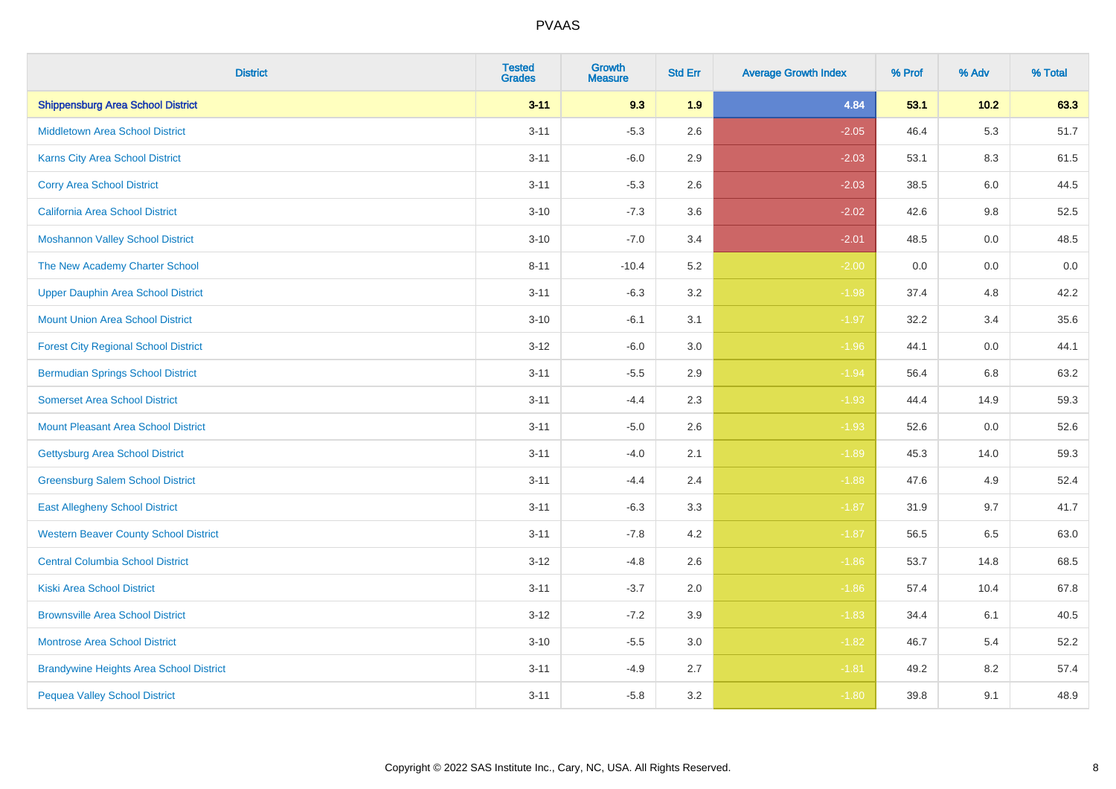| <b>District</b>                                | <b>Tested</b><br><b>Grades</b> | <b>Growth</b><br><b>Measure</b> | <b>Std Err</b> | <b>Average Growth Index</b> | % Prof | % Adv  | % Total |
|------------------------------------------------|--------------------------------|---------------------------------|----------------|-----------------------------|--------|--------|---------|
| <b>Shippensburg Area School District</b>       | $3 - 11$                       | 9.3                             | 1.9            | 4.84                        | 53.1   | $10.2$ | 63.3    |
| <b>Middletown Area School District</b>         | $3 - 11$                       | $-5.3$                          | 2.6            | $-2.05$                     | 46.4   | 5.3    | 51.7    |
| <b>Karns City Area School District</b>         | $3 - 11$                       | $-6.0$                          | 2.9            | $-2.03$                     | 53.1   | 8.3    | 61.5    |
| <b>Corry Area School District</b>              | $3 - 11$                       | $-5.3$                          | 2.6            | $-2.03$                     | 38.5   | 6.0    | 44.5    |
| California Area School District                | $3 - 10$                       | $-7.3$                          | 3.6            | $-2.02$                     | 42.6   | 9.8    | 52.5    |
| <b>Moshannon Valley School District</b>        | $3 - 10$                       | $-7.0$                          | 3.4            | $-2.01$                     | 48.5   | 0.0    | 48.5    |
| The New Academy Charter School                 | $8 - 11$                       | $-10.4$                         | 5.2            | $-2.00$                     | 0.0    | 0.0    | $0.0\,$ |
| <b>Upper Dauphin Area School District</b>      | $3 - 11$                       | $-6.3$                          | 3.2            | $-1.98$                     | 37.4   | 4.8    | 42.2    |
| <b>Mount Union Area School District</b>        | $3 - 10$                       | $-6.1$                          | 3.1            | $-1.97$                     | 32.2   | 3.4    | 35.6    |
| <b>Forest City Regional School District</b>    | $3 - 12$                       | $-6.0$                          | 3.0            | $-1.96$                     | 44.1   | 0.0    | 44.1    |
| <b>Bermudian Springs School District</b>       | $3 - 11$                       | $-5.5$                          | 2.9            | $-1.94$                     | 56.4   | 6.8    | 63.2    |
| <b>Somerset Area School District</b>           | $3 - 11$                       | $-4.4$                          | 2.3            | $-1.93$                     | 44.4   | 14.9   | 59.3    |
| <b>Mount Pleasant Area School District</b>     | $3 - 11$                       | $-5.0$                          | 2.6            | $-1.93$                     | 52.6   | 0.0    | 52.6    |
| <b>Gettysburg Area School District</b>         | $3 - 11$                       | $-4.0$                          | 2.1            | $-1.89$                     | 45.3   | 14.0   | 59.3    |
| <b>Greensburg Salem School District</b>        | $3 - 11$                       | $-4.4$                          | 2.4            | $-1.88$                     | 47.6   | 4.9    | 52.4    |
| <b>East Allegheny School District</b>          | $3 - 11$                       | $-6.3$                          | 3.3            | $-1.87$                     | 31.9   | 9.7    | 41.7    |
| <b>Western Beaver County School District</b>   | $3 - 11$                       | $-7.8$                          | 4.2            | $-1.87$                     | 56.5   | 6.5    | 63.0    |
| <b>Central Columbia School District</b>        | $3 - 12$                       | $-4.8$                          | 2.6            | $-1.86$                     | 53.7   | 14.8   | 68.5    |
| <b>Kiski Area School District</b>              | $3 - 11$                       | $-3.7$                          | 2.0            | $-1.86$                     | 57.4   | 10.4   | 67.8    |
| <b>Brownsville Area School District</b>        | $3 - 12$                       | $-7.2$                          | 3.9            | $-1.83$                     | 34.4   | 6.1    | 40.5    |
| <b>Montrose Area School District</b>           | $3 - 10$                       | $-5.5$                          | 3.0            | $-1.82$                     | 46.7   | 5.4    | 52.2    |
| <b>Brandywine Heights Area School District</b> | $3 - 11$                       | $-4.9$                          | 2.7            | $-1.81$                     | 49.2   | 8.2    | 57.4    |
| <b>Pequea Valley School District</b>           | $3 - 11$                       | $-5.8$                          | 3.2            | $-1.80$                     | 39.8   | 9.1    | 48.9    |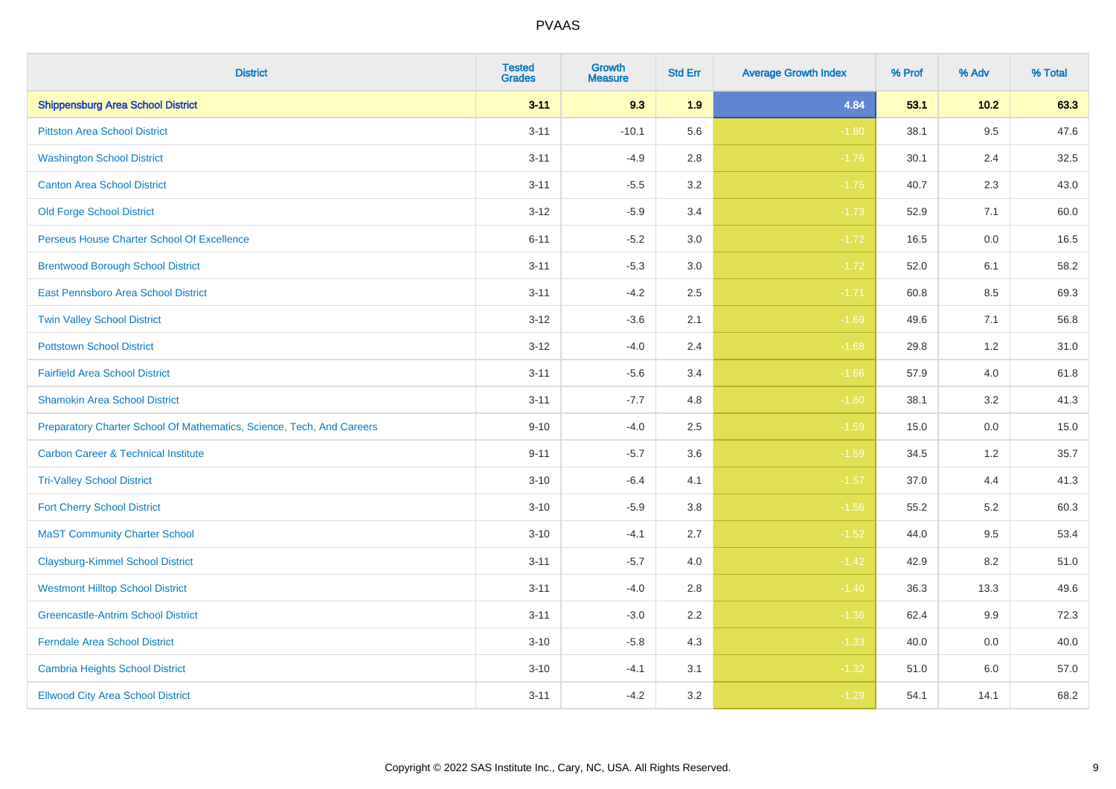| <b>District</b>                                                       | <b>Tested</b><br><b>Grades</b> | <b>Growth</b><br><b>Measure</b> | <b>Std Err</b> | <b>Average Growth Index</b> | % Prof | % Adv  | % Total |
|-----------------------------------------------------------------------|--------------------------------|---------------------------------|----------------|-----------------------------|--------|--------|---------|
| <b>Shippensburg Area School District</b>                              | $3 - 11$                       | 9.3                             | 1.9            | 4.84                        | 53.1   | $10.2$ | 63.3    |
| <b>Pittston Area School District</b>                                  | $3 - 11$                       | $-10.1$                         | 5.6            | $-1.80$                     | 38.1   | 9.5    | 47.6    |
| <b>Washington School District</b>                                     | $3 - 11$                       | $-4.9$                          | 2.8            | $-1.76$                     | 30.1   | 2.4    | 32.5    |
| <b>Canton Area School District</b>                                    | $3 - 11$                       | $-5.5$                          | 3.2            | $-1.75$                     | 40.7   | 2.3    | 43.0    |
| <b>Old Forge School District</b>                                      | $3 - 12$                       | $-5.9$                          | 3.4            | $-1.73$                     | 52.9   | 7.1    | 60.0    |
| Perseus House Charter School Of Excellence                            | $6 - 11$                       | $-5.2$                          | 3.0            | $-1.72$                     | 16.5   | 0.0    | 16.5    |
| <b>Brentwood Borough School District</b>                              | $3 - 11$                       | $-5.3$                          | 3.0            | $-1.72$                     | 52.0   | 6.1    | 58.2    |
| <b>East Pennsboro Area School District</b>                            | $3 - 11$                       | $-4.2$                          | 2.5            | $-1.71$                     | 60.8   | 8.5    | 69.3    |
| <b>Twin Valley School District</b>                                    | $3 - 12$                       | $-3.6$                          | 2.1            | $-1.69$                     | 49.6   | 7.1    | 56.8    |
| <b>Pottstown School District</b>                                      | $3 - 12$                       | $-4.0$                          | 2.4            | $-1.68$                     | 29.8   | 1.2    | 31.0    |
| <b>Fairfield Area School District</b>                                 | $3 - 11$                       | $-5.6$                          | 3.4            | $-1.66$                     | 57.9   | 4.0    | 61.8    |
| <b>Shamokin Area School District</b>                                  | $3 - 11$                       | $-7.7$                          | 4.8            | $-1.60$                     | 38.1   | 3.2    | 41.3    |
| Preparatory Charter School Of Mathematics, Science, Tech, And Careers | $9 - 10$                       | $-4.0$                          | 2.5            | $-1.59$                     | 15.0   | 0.0    | 15.0    |
| <b>Carbon Career &amp; Technical Institute</b>                        | $9 - 11$                       | $-5.7$                          | 3.6            | $-1.59$                     | 34.5   | 1.2    | 35.7    |
| <b>Tri-Valley School District</b>                                     | $3 - 10$                       | $-6.4$                          | 4.1            | $-1.57$                     | 37.0   | 4.4    | 41.3    |
| <b>Fort Cherry School District</b>                                    | $3 - 10$                       | $-5.9$                          | $3.8\,$        | $-1.56$                     | 55.2   | 5.2    | 60.3    |
| <b>MaST Community Charter School</b>                                  | $3 - 10$                       | $-4.1$                          | 2.7            | $-1.52$                     | 44.0   | 9.5    | 53.4    |
| <b>Claysburg-Kimmel School District</b>                               | $3 - 11$                       | $-5.7$                          | 4.0            | $-1.42$                     | 42.9   | 8.2    | 51.0    |
| <b>Westmont Hilltop School District</b>                               | $3 - 11$                       | $-4.0$                          | 2.8            | $-1.40$                     | 36.3   | 13.3   | 49.6    |
| <b>Greencastle-Antrim School District</b>                             | $3 - 11$                       | $-3.0$                          | 2.2            | $-1.36$                     | 62.4   | 9.9    | 72.3    |
| Ferndale Area School District                                         | $3 - 10$                       | $-5.8$                          | 4.3            | $-1.33$                     | 40.0   | 0.0    | 40.0    |
| <b>Cambria Heights School District</b>                                | $3 - 10$                       | $-4.1$                          | 3.1            | $-1.32$                     | 51.0   | 6.0    | 57.0    |
| <b>Ellwood City Area School District</b>                              | $3 - 11$                       | $-4.2$                          | 3.2            | $-1.29$                     | 54.1   | 14.1   | 68.2    |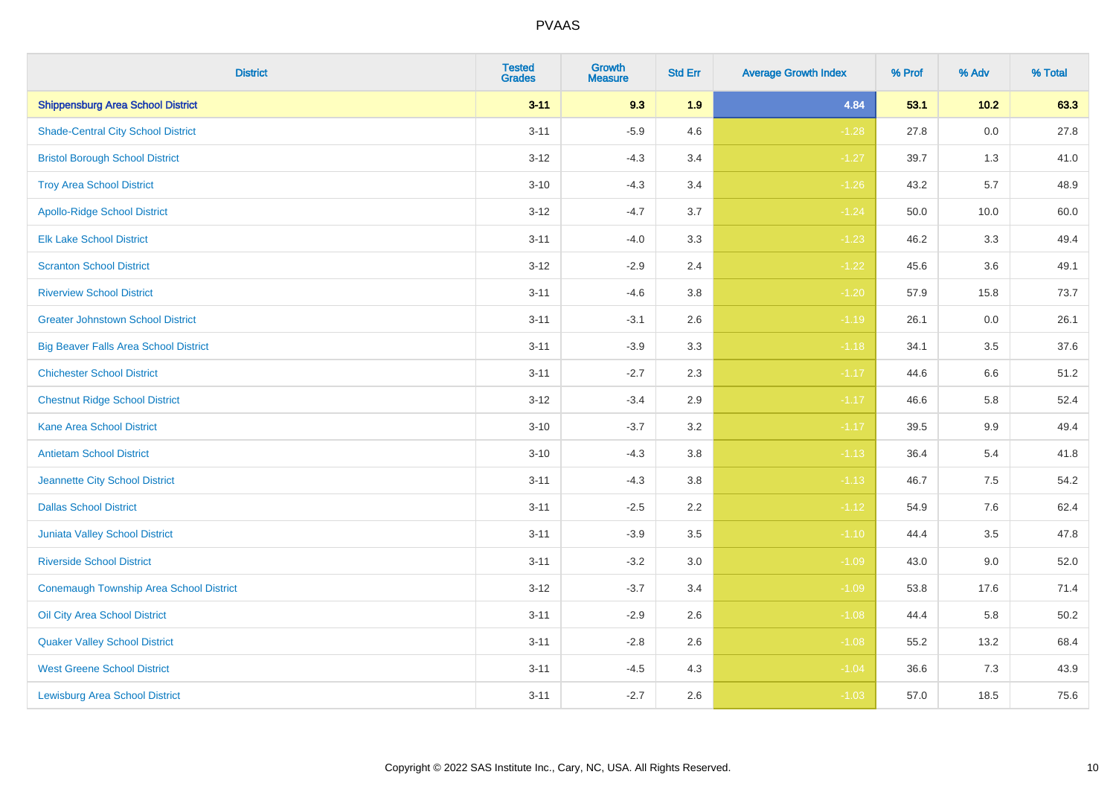| <b>District</b>                              | <b>Tested</b><br><b>Grades</b> | <b>Growth</b><br><b>Measure</b> | <b>Std Err</b> | <b>Average Growth Index</b> | % Prof | % Adv   | % Total |
|----------------------------------------------|--------------------------------|---------------------------------|----------------|-----------------------------|--------|---------|---------|
| <b>Shippensburg Area School District</b>     | $3 - 11$                       | 9.3                             | 1.9            | 4.84                        | 53.1   | $10.2$  | 63.3    |
| <b>Shade-Central City School District</b>    | $3 - 11$                       | $-5.9$                          | 4.6            | $-1.28$                     | 27.8   | $0.0\,$ | 27.8    |
| <b>Bristol Borough School District</b>       | $3 - 12$                       | $-4.3$                          | 3.4            | $-1.27$                     | 39.7   | 1.3     | 41.0    |
| <b>Troy Area School District</b>             | $3 - 10$                       | $-4.3$                          | 3.4            | $-1.26$                     | 43.2   | 5.7     | 48.9    |
| <b>Apollo-Ridge School District</b>          | $3 - 12$                       | $-4.7$                          | 3.7            | $-1.24$                     | 50.0   | 10.0    | 60.0    |
| <b>Elk Lake School District</b>              | $3 - 11$                       | $-4.0$                          | 3.3            | $-1.23$                     | 46.2   | 3.3     | 49.4    |
| <b>Scranton School District</b>              | $3 - 12$                       | $-2.9$                          | 2.4            | $-1.22$                     | 45.6   | 3.6     | 49.1    |
| <b>Riverview School District</b>             | $3 - 11$                       | $-4.6$                          | 3.8            | $-1.20$                     | 57.9   | 15.8    | 73.7    |
| <b>Greater Johnstown School District</b>     | $3 - 11$                       | $-3.1$                          | 2.6            | $-1.19$                     | 26.1   | 0.0     | 26.1    |
| <b>Big Beaver Falls Area School District</b> | $3 - 11$                       | $-3.9$                          | 3.3            | $-1.18$                     | 34.1   | 3.5     | 37.6    |
| <b>Chichester School District</b>            | $3 - 11$                       | $-2.7$                          | 2.3            | $-1.17$                     | 44.6   | 6.6     | 51.2    |
| <b>Chestnut Ridge School District</b>        | $3 - 12$                       | $-3.4$                          | 2.9            | $-1.17$                     | 46.6   | 5.8     | 52.4    |
| <b>Kane Area School District</b>             | $3 - 10$                       | $-3.7$                          | 3.2            | $-1.17$                     | 39.5   | $9.9\,$ | 49.4    |
| <b>Antietam School District</b>              | $3 - 10$                       | $-4.3$                          | 3.8            | $-1.13$                     | 36.4   | 5.4     | 41.8    |
| <b>Jeannette City School District</b>        | $3 - 11$                       | $-4.3$                          | 3.8            | $-1.13$                     | 46.7   | $7.5\,$ | 54.2    |
| <b>Dallas School District</b>                | $3 - 11$                       | $-2.5$                          | 2.2            | $-1.12$                     | 54.9   | $7.6\,$ | 62.4    |
| Juniata Valley School District               | $3 - 11$                       | $-3.9$                          | 3.5            | $-1.10$                     | 44.4   | 3.5     | 47.8    |
| <b>Riverside School District</b>             | $3 - 11$                       | $-3.2$                          | 3.0            | $-1.09$                     | 43.0   | 9.0     | 52.0    |
| Conemaugh Township Area School District      | $3 - 12$                       | $-3.7$                          | 3.4            | $-1.09$                     | 53.8   | 17.6    | 71.4    |
| Oil City Area School District                | $3 - 11$                       | $-2.9$                          | 2.6            | $-1.08$                     | 44.4   | 5.8     | 50.2    |
| <b>Quaker Valley School District</b>         | $3 - 11$                       | $-2.8$                          | 2.6            | $-1.08$                     | 55.2   | 13.2    | 68.4    |
| <b>West Greene School District</b>           | $3 - 11$                       | $-4.5$                          | 4.3            | $-1.04$                     | 36.6   | 7.3     | 43.9    |
| <b>Lewisburg Area School District</b>        | $3 - 11$                       | $-2.7$                          | 2.6            | $-1.03$                     | 57.0   | 18.5    | 75.6    |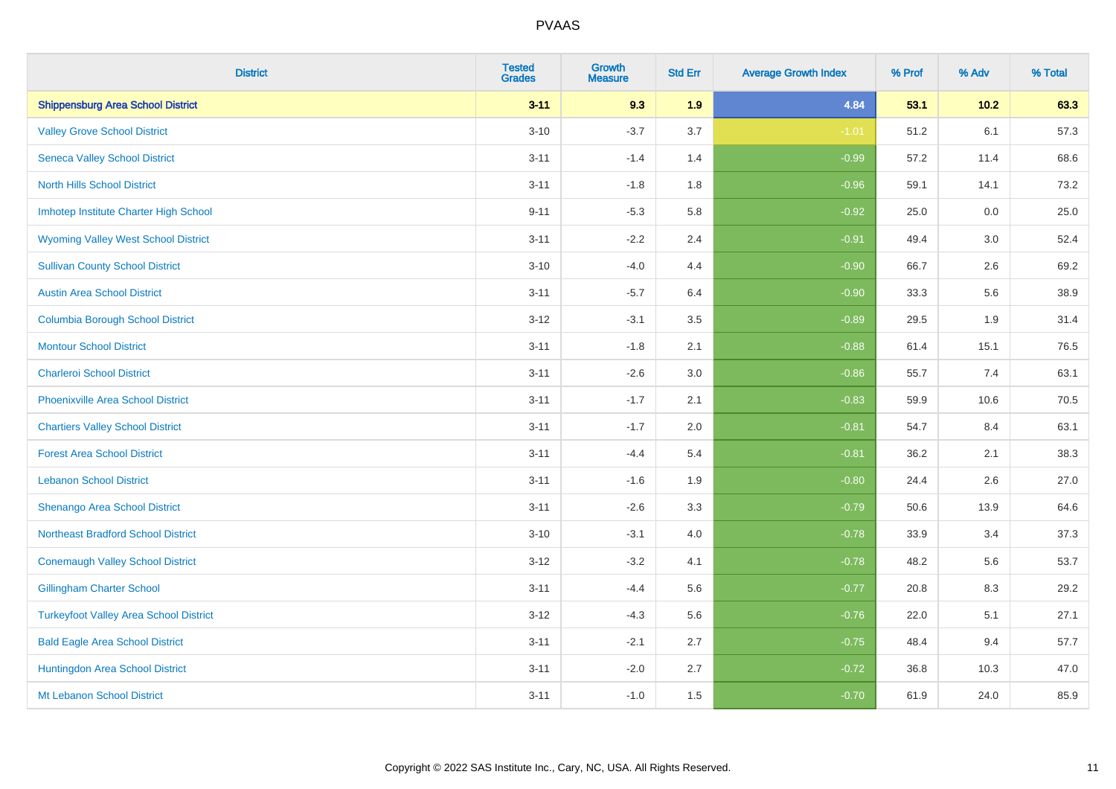| <b>District</b>                               | <b>Tested</b><br><b>Grades</b> | <b>Growth</b><br><b>Measure</b> | <b>Std Err</b> | <b>Average Growth Index</b> | % Prof | % Adv  | % Total |
|-----------------------------------------------|--------------------------------|---------------------------------|----------------|-----------------------------|--------|--------|---------|
| <b>Shippensburg Area School District</b>      | $3 - 11$                       | 9.3                             | 1.9            | 4.84                        | 53.1   | $10.2$ | 63.3    |
| <b>Valley Grove School District</b>           | $3 - 10$                       | $-3.7$                          | 3.7            | $-1.01$                     | 51.2   | 6.1    | 57.3    |
| <b>Seneca Valley School District</b>          | $3 - 11$                       | $-1.4$                          | 1.4            | $-0.99$                     | 57.2   | 11.4   | 68.6    |
| <b>North Hills School District</b>            | $3 - 11$                       | $-1.8$                          | 1.8            | $-0.96$                     | 59.1   | 14.1   | 73.2    |
| Imhotep Institute Charter High School         | $9 - 11$                       | $-5.3$                          | 5.8            | $-0.92$                     | 25.0   | 0.0    | 25.0    |
| <b>Wyoming Valley West School District</b>    | $3 - 11$                       | $-2.2$                          | 2.4            | $-0.91$                     | 49.4   | 3.0    | 52.4    |
| <b>Sullivan County School District</b>        | $3 - 10$                       | $-4.0$                          | 4.4            | $-0.90$                     | 66.7   | 2.6    | 69.2    |
| <b>Austin Area School District</b>            | $3 - 11$                       | $-5.7$                          | 6.4            | $-0.90$                     | 33.3   | 5.6    | 38.9    |
| <b>Columbia Borough School District</b>       | $3 - 12$                       | $-3.1$                          | 3.5            | $-0.89$                     | 29.5   | 1.9    | 31.4    |
| <b>Montour School District</b>                | $3 - 11$                       | $-1.8$                          | 2.1            | $-0.88$                     | 61.4   | 15.1   | 76.5    |
| <b>Charleroi School District</b>              | $3 - 11$                       | $-2.6$                          | 3.0            | $-0.86$                     | 55.7   | 7.4    | 63.1    |
| <b>Phoenixville Area School District</b>      | $3 - 11$                       | $-1.7$                          | 2.1            | $-0.83$                     | 59.9   | 10.6   | 70.5    |
| <b>Chartiers Valley School District</b>       | $3 - 11$                       | $-1.7$                          | 2.0            | $-0.81$                     | 54.7   | 8.4    | 63.1    |
| <b>Forest Area School District</b>            | $3 - 11$                       | $-4.4$                          | 5.4            | $-0.81$                     | 36.2   | 2.1    | 38.3    |
| <b>Lebanon School District</b>                | $3 - 11$                       | $-1.6$                          | 1.9            | $-0.80$                     | 24.4   | 2.6    | 27.0    |
| Shenango Area School District                 | $3 - 11$                       | $-2.6$                          | 3.3            | $-0.79$                     | 50.6   | 13.9   | 64.6    |
| <b>Northeast Bradford School District</b>     | $3 - 10$                       | $-3.1$                          | 4.0            | $-0.78$                     | 33.9   | 3.4    | 37.3    |
| <b>Conemaugh Valley School District</b>       | $3 - 12$                       | $-3.2$                          | 4.1            | $-0.78$                     | 48.2   | 5.6    | 53.7    |
| <b>Gillingham Charter School</b>              | $3 - 11$                       | $-4.4$                          | 5.6            | $-0.77$                     | 20.8   | 8.3    | 29.2    |
| <b>Turkeyfoot Valley Area School District</b> | $3 - 12$                       | $-4.3$                          | 5.6            | $-0.76$                     | 22.0   | 5.1    | 27.1    |
| <b>Bald Eagle Area School District</b>        | $3 - 11$                       | $-2.1$                          | 2.7            | $-0.75$                     | 48.4   | 9.4    | 57.7    |
| Huntingdon Area School District               | $3 - 11$                       | $-2.0$                          | 2.7            | $-0.72$                     | 36.8   | 10.3   | 47.0    |
| Mt Lebanon School District                    | $3 - 11$                       | $-1.0$                          | 1.5            | $-0.70$                     | 61.9   | 24.0   | 85.9    |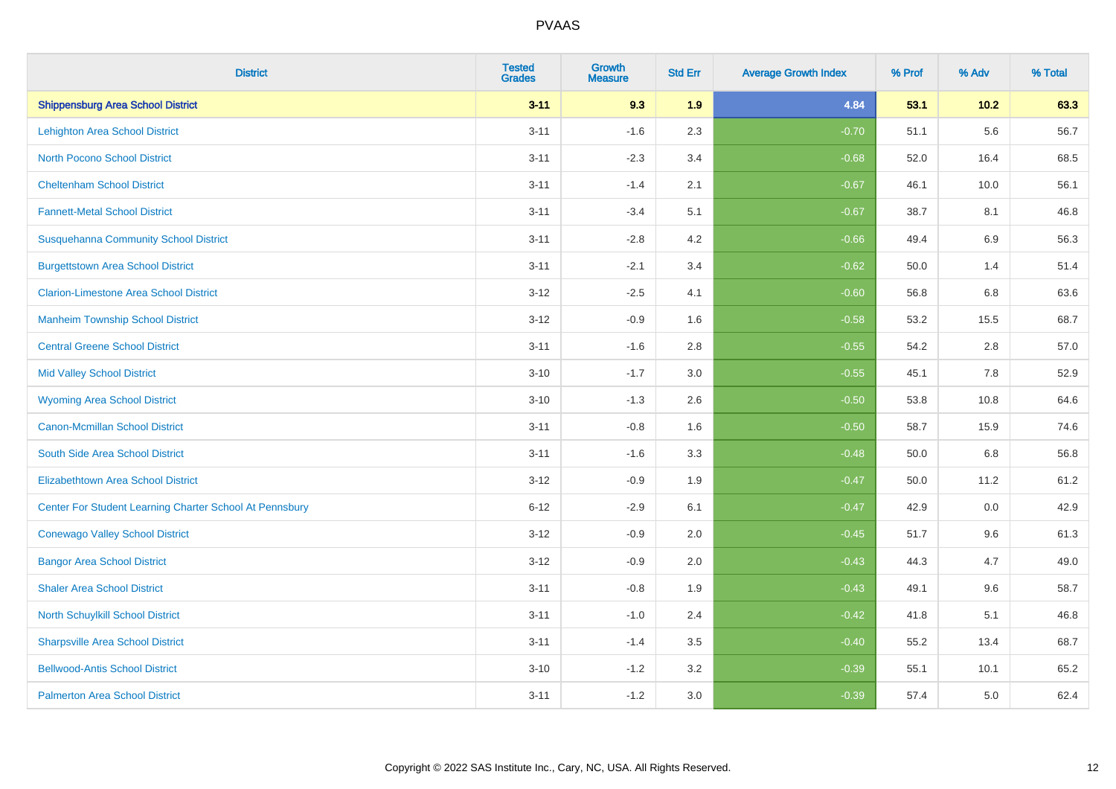| <b>District</b>                                         | <b>Tested</b><br><b>Grades</b> | <b>Growth</b><br><b>Measure</b> | <b>Std Err</b> | <b>Average Growth Index</b> | % Prof | % Adv   | % Total |
|---------------------------------------------------------|--------------------------------|---------------------------------|----------------|-----------------------------|--------|---------|---------|
| <b>Shippensburg Area School District</b>                | $3 - 11$                       | 9.3                             | 1.9            | 4.84                        | 53.1   | $10.2$  | 63.3    |
| Lehighton Area School District                          | $3 - 11$                       | $-1.6$                          | 2.3            | $-0.70$                     | 51.1   | 5.6     | 56.7    |
| <b>North Pocono School District</b>                     | $3 - 11$                       | $-2.3$                          | 3.4            | $-0.68$                     | 52.0   | 16.4    | 68.5    |
| <b>Cheltenham School District</b>                       | $3 - 11$                       | $-1.4$                          | 2.1            | $-0.67$                     | 46.1   | 10.0    | 56.1    |
| <b>Fannett-Metal School District</b>                    | $3 - 11$                       | $-3.4$                          | 5.1            | $-0.67$                     | 38.7   | 8.1     | 46.8    |
| <b>Susquehanna Community School District</b>            | $3 - 11$                       | $-2.8$                          | 4.2            | $-0.66$                     | 49.4   | $6.9\,$ | 56.3    |
| <b>Burgettstown Area School District</b>                | $3 - 11$                       | $-2.1$                          | 3.4            | $-0.62$                     | 50.0   | 1.4     | 51.4    |
| <b>Clarion-Limestone Area School District</b>           | $3 - 12$                       | $-2.5$                          | 4.1            | $-0.60$                     | 56.8   | 6.8     | 63.6    |
| <b>Manheim Township School District</b>                 | $3 - 12$                       | $-0.9$                          | 1.6            | $-0.58$                     | 53.2   | 15.5    | 68.7    |
| <b>Central Greene School District</b>                   | $3 - 11$                       | $-1.6$                          | 2.8            | $-0.55$                     | 54.2   | $2.8\,$ | 57.0    |
| <b>Mid Valley School District</b>                       | $3 - 10$                       | $-1.7$                          | 3.0            | $-0.55$                     | 45.1   | 7.8     | 52.9    |
| <b>Wyoming Area School District</b>                     | $3 - 10$                       | $-1.3$                          | 2.6            | $-0.50$                     | 53.8   | 10.8    | 64.6    |
| <b>Canon-Mcmillan School District</b>                   | $3 - 11$                       | $-0.8$                          | 1.6            | $-0.50$                     | 58.7   | 15.9    | 74.6    |
| South Side Area School District                         | $3 - 11$                       | $-1.6$                          | 3.3            | $-0.48$                     | 50.0   | 6.8     | 56.8    |
| <b>Elizabethtown Area School District</b>               | $3 - 12$                       | $-0.9$                          | 1.9            | $-0.47$                     | 50.0   | 11.2    | 61.2    |
| Center For Student Learning Charter School At Pennsbury | $6 - 12$                       | $-2.9$                          | 6.1            | $-0.47$                     | 42.9   | 0.0     | 42.9    |
| <b>Conewago Valley School District</b>                  | $3 - 12$                       | $-0.9$                          | 2.0            | $-0.45$                     | 51.7   | 9.6     | 61.3    |
| <b>Bangor Area School District</b>                      | $3 - 12$                       | $-0.9$                          | 2.0            | $-0.43$                     | 44.3   | 4.7     | 49.0    |
| <b>Shaler Area School District</b>                      | $3 - 11$                       | $-0.8$                          | 1.9            | $-0.43$                     | 49.1   | 9.6     | 58.7    |
| North Schuylkill School District                        | $3 - 11$                       | $-1.0$                          | 2.4            | $-0.42$                     | 41.8   | 5.1     | 46.8    |
| <b>Sharpsville Area School District</b>                 | $3 - 11$                       | $-1.4$                          | 3.5            | $-0.40$                     | 55.2   | 13.4    | 68.7    |
| <b>Bellwood-Antis School District</b>                   | $3 - 10$                       | $-1.2$                          | 3.2            | $-0.39$                     | 55.1   | 10.1    | 65.2    |
| <b>Palmerton Area School District</b>                   | $3 - 11$                       | $-1.2$                          | 3.0            | $-0.39$                     | 57.4   | 5.0     | 62.4    |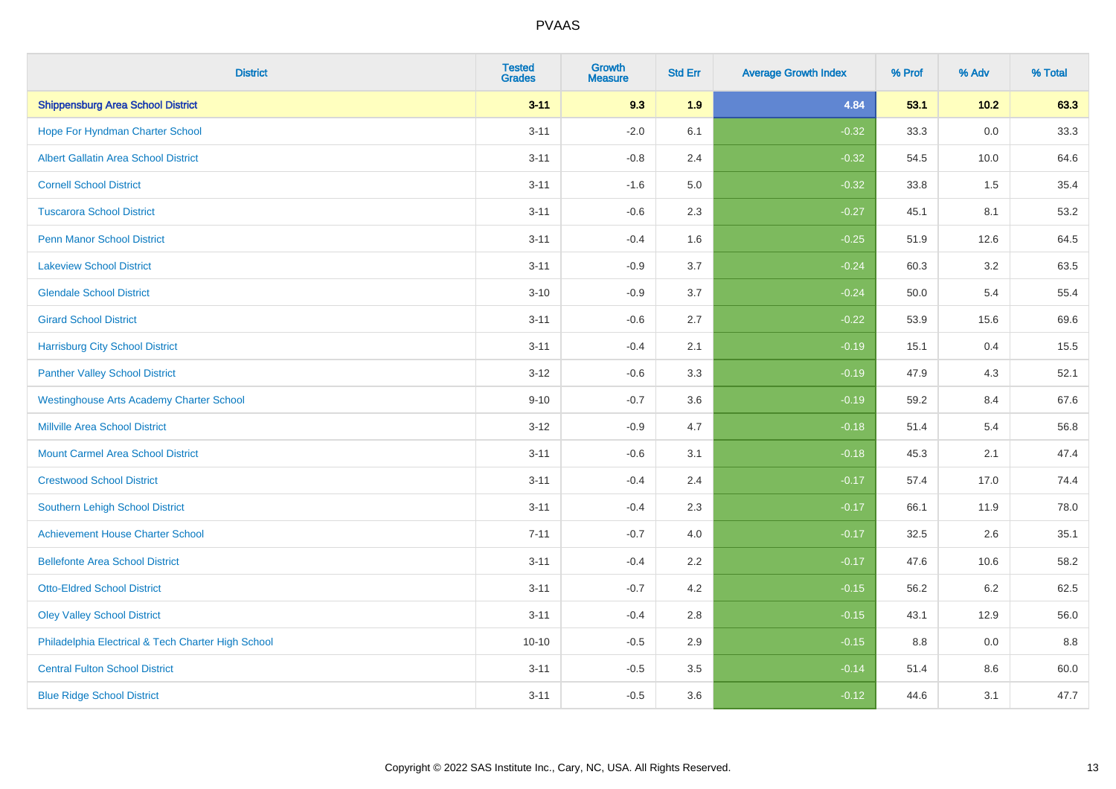| <b>District</b>                                    | <b>Tested</b><br><b>Grades</b> | <b>Growth</b><br><b>Measure</b> | <b>Std Err</b> | <b>Average Growth Index</b> | % Prof | % Adv   | % Total |
|----------------------------------------------------|--------------------------------|---------------------------------|----------------|-----------------------------|--------|---------|---------|
| <b>Shippensburg Area School District</b>           | $3 - 11$                       | 9.3                             | 1.9            | 4.84                        | 53.1   | 10.2    | 63.3    |
| Hope For Hyndman Charter School                    | $3 - 11$                       | $-2.0$                          | 6.1            | $-0.32$                     | 33.3   | 0.0     | 33.3    |
| <b>Albert Gallatin Area School District</b>        | $3 - 11$                       | $-0.8$                          | 2.4            | $-0.32$                     | 54.5   | 10.0    | 64.6    |
| <b>Cornell School District</b>                     | $3 - 11$                       | $-1.6$                          | 5.0            | $-0.32$                     | 33.8   | 1.5     | 35.4    |
| <b>Tuscarora School District</b>                   | $3 - 11$                       | $-0.6$                          | 2.3            | $-0.27$                     | 45.1   | 8.1     | 53.2    |
| <b>Penn Manor School District</b>                  | $3 - 11$                       | $-0.4$                          | 1.6            | $-0.25$                     | 51.9   | 12.6    | 64.5    |
| <b>Lakeview School District</b>                    | $3 - 11$                       | $-0.9$                          | 3.7            | $-0.24$                     | 60.3   | 3.2     | 63.5    |
| <b>Glendale School District</b>                    | $3 - 10$                       | $-0.9$                          | 3.7            | $-0.24$                     | 50.0   | 5.4     | 55.4    |
| <b>Girard School District</b>                      | $3 - 11$                       | $-0.6$                          | 2.7            | $-0.22$                     | 53.9   | 15.6    | 69.6    |
| <b>Harrisburg City School District</b>             | $3 - 11$                       | $-0.4$                          | 2.1            | $-0.19$                     | 15.1   | 0.4     | 15.5    |
| <b>Panther Valley School District</b>              | $3 - 12$                       | $-0.6$                          | 3.3            | $-0.19$                     | 47.9   | 4.3     | 52.1    |
| <b>Westinghouse Arts Academy Charter School</b>    | $9 - 10$                       | $-0.7$                          | 3.6            | $-0.19$                     | 59.2   | 8.4     | 67.6    |
| <b>Millville Area School District</b>              | $3 - 12$                       | $-0.9$                          | 4.7            | $-0.18$                     | 51.4   | 5.4     | 56.8    |
| <b>Mount Carmel Area School District</b>           | $3 - 11$                       | $-0.6$                          | 3.1            | $-0.18$                     | 45.3   | 2.1     | 47.4    |
| <b>Crestwood School District</b>                   | $3 - 11$                       | $-0.4$                          | 2.4            | $-0.17$                     | 57.4   | 17.0    | 74.4    |
| <b>Southern Lehigh School District</b>             | $3 - 11$                       | $-0.4$                          | 2.3            | $-0.17$                     | 66.1   | 11.9    | 78.0    |
| <b>Achievement House Charter School</b>            | $7 - 11$                       | $-0.7$                          | 4.0            | $-0.17$                     | 32.5   | $2.6\,$ | 35.1    |
| <b>Bellefonte Area School District</b>             | $3 - 11$                       | $-0.4$                          | 2.2            | $-0.17$                     | 47.6   | 10.6    | 58.2    |
| <b>Otto-Eldred School District</b>                 | $3 - 11$                       | $-0.7$                          | 4.2            | $-0.15$                     | 56.2   | $6.2\,$ | 62.5    |
| <b>Oley Valley School District</b>                 | $3 - 11$                       | $-0.4$                          | 2.8            | $-0.15$                     | 43.1   | 12.9    | 56.0    |
| Philadelphia Electrical & Tech Charter High School | $10 - 10$                      | $-0.5$                          | 2.9            | $-0.15$                     | 8.8    | 0.0     | 8.8     |
| <b>Central Fulton School District</b>              | $3 - 11$                       | $-0.5$                          | 3.5            | $-0.14$                     | 51.4   | 8.6     | 60.0    |
| <b>Blue Ridge School District</b>                  | $3 - 11$                       | $-0.5$                          | 3.6            | $-0.12$                     | 44.6   | 3.1     | 47.7    |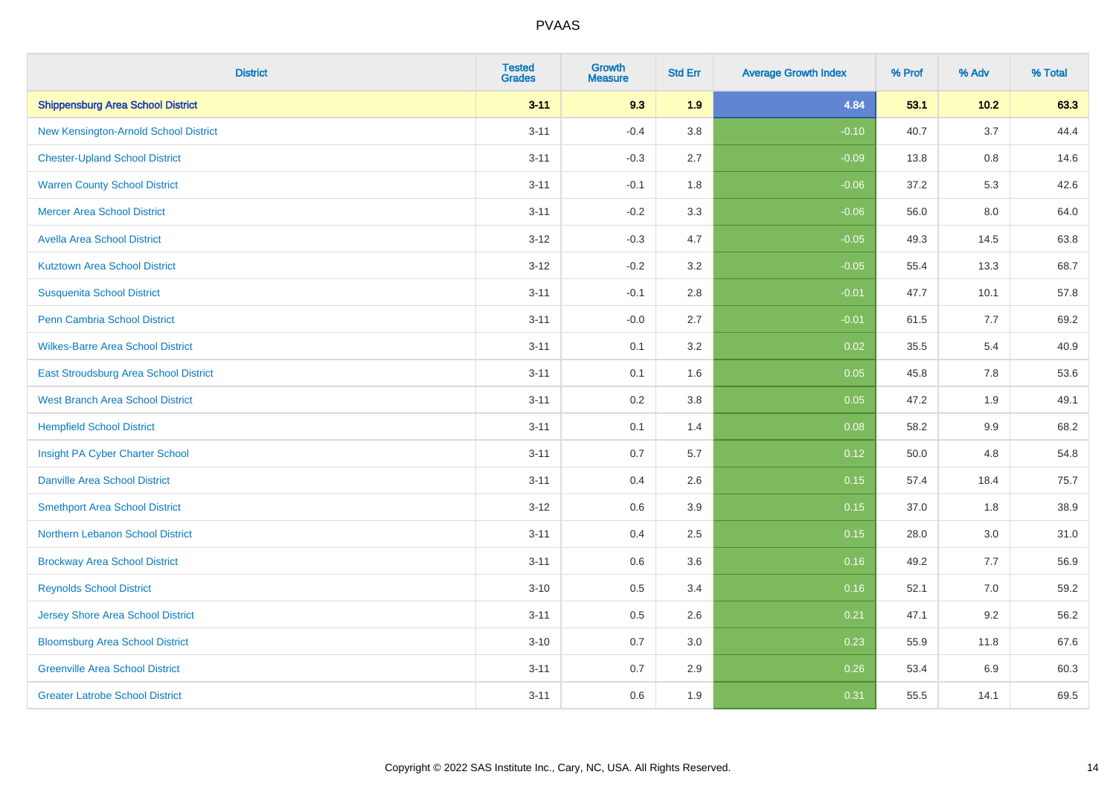| <b>District</b>                          | <b>Tested</b><br><b>Grades</b> | Growth<br><b>Measure</b> | <b>Std Err</b> | <b>Average Growth Index</b> | % Prof | % Adv   | % Total |
|------------------------------------------|--------------------------------|--------------------------|----------------|-----------------------------|--------|---------|---------|
| <b>Shippensburg Area School District</b> | $3 - 11$                       | 9.3                      | 1.9            | 4.84                        | 53.1   | $10.2$  | 63.3    |
| New Kensington-Arnold School District    | $3 - 11$                       | $-0.4$                   | 3.8            | $-0.10$                     | 40.7   | 3.7     | 44.4    |
| <b>Chester-Upland School District</b>    | $3 - 11$                       | $-0.3$                   | 2.7            | $-0.09$                     | 13.8   | $0.8\,$ | 14.6    |
| <b>Warren County School District</b>     | $3 - 11$                       | $-0.1$                   | 1.8            | $-0.06$                     | 37.2   | 5.3     | 42.6    |
| <b>Mercer Area School District</b>       | $3 - 11$                       | $-0.2$                   | 3.3            | $-0.06$                     | 56.0   | 8.0     | 64.0    |
| <b>Avella Area School District</b>       | $3 - 12$                       | $-0.3$                   | 4.7            | $-0.05$                     | 49.3   | 14.5    | 63.8    |
| <b>Kutztown Area School District</b>     | $3 - 12$                       | $-0.2$                   | 3.2            | $-0.05$                     | 55.4   | 13.3    | 68.7    |
| <b>Susquenita School District</b>        | $3 - 11$                       | $-0.1$                   | 2.8            | $-0.01$                     | 47.7   | 10.1    | 57.8    |
| Penn Cambria School District             | $3 - 11$                       | $-0.0$                   | 2.7            | $-0.01$                     | 61.5   | 7.7     | 69.2    |
| <b>Wilkes-Barre Area School District</b> | $3 - 11$                       | 0.1                      | 3.2            | 0.02                        | 35.5   | 5.4     | 40.9    |
| East Stroudsburg Area School District    | $3 - 11$                       | 0.1                      | 1.6            | 0.05                        | 45.8   | 7.8     | 53.6    |
| <b>West Branch Area School District</b>  | $3 - 11$                       | 0.2                      | 3.8            | 0.05                        | 47.2   | 1.9     | 49.1    |
| <b>Hempfield School District</b>         | $3 - 11$                       | 0.1                      | 1.4            | 0.08                        | 58.2   | 9.9     | 68.2    |
| Insight PA Cyber Charter School          | $3 - 11$                       | 0.7                      | 5.7            | 0.12                        | 50.0   | 4.8     | 54.8    |
| <b>Danville Area School District</b>     | $3 - 11$                       | 0.4                      | 2.6            | 0.15                        | 57.4   | 18.4    | 75.7    |
| <b>Smethport Area School District</b>    | $3 - 12$                       | 0.6                      | 3.9            | 0.15                        | 37.0   | 1.8     | 38.9    |
| Northern Lebanon School District         | $3 - 11$                       | 0.4                      | 2.5            | 0.15                        | 28.0   | 3.0     | 31.0    |
| <b>Brockway Area School District</b>     | $3 - 11$                       | 0.6                      | 3.6            | 0.16                        | 49.2   | 7.7     | 56.9    |
| <b>Reynolds School District</b>          | $3 - 10$                       | $0.5\,$                  | 3.4            | 0.16                        | 52.1   | 7.0     | 59.2    |
| <b>Jersey Shore Area School District</b> | $3 - 11$                       | 0.5                      | 2.6            | 0.21                        | 47.1   | 9.2     | 56.2    |
| <b>Bloomsburg Area School District</b>   | $3 - 10$                       | 0.7                      | 3.0            | 0.23                        | 55.9   | 11.8    | 67.6    |
| <b>Greenville Area School District</b>   | $3 - 11$                       | 0.7                      | 2.9            | 0.26                        | 53.4   | 6.9     | 60.3    |
| <b>Greater Latrobe School District</b>   | $3 - 11$                       | 0.6                      | 1.9            | 0.31                        | 55.5   | 14.1    | 69.5    |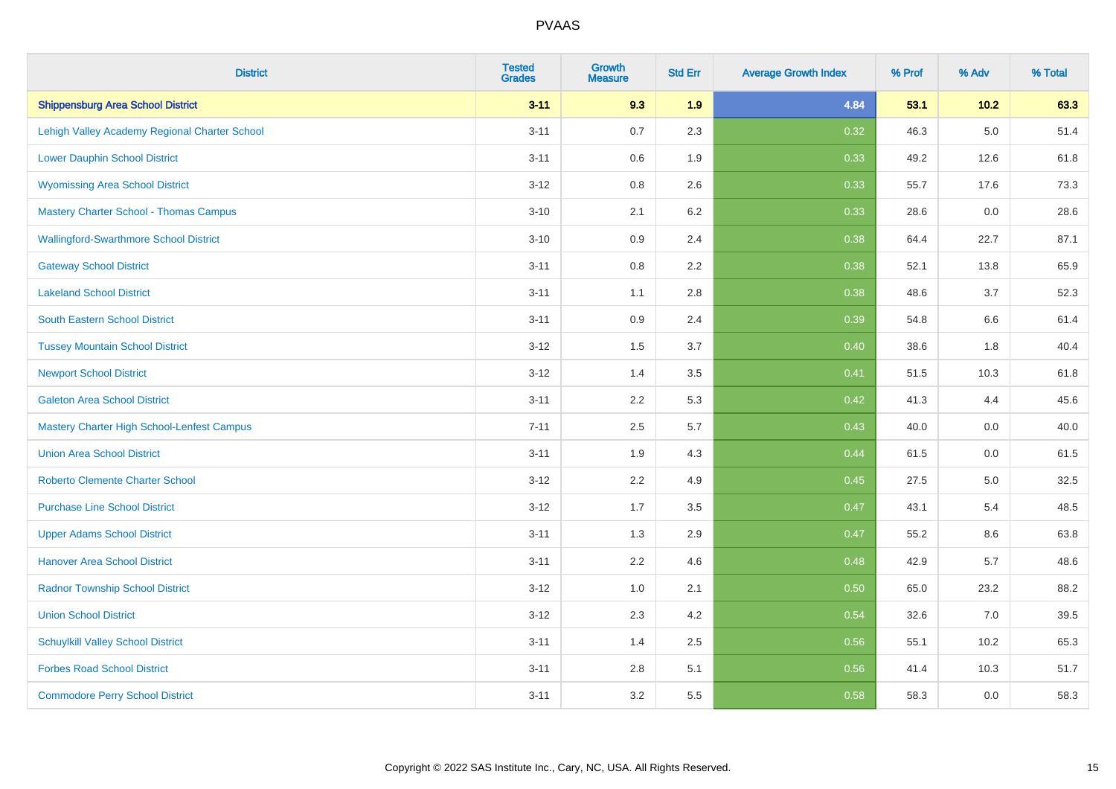| <b>District</b>                               | <b>Tested</b><br><b>Grades</b> | Growth<br><b>Measure</b> | <b>Std Err</b> | <b>Average Growth Index</b> | % Prof | % Adv   | % Total |
|-----------------------------------------------|--------------------------------|--------------------------|----------------|-----------------------------|--------|---------|---------|
| <b>Shippensburg Area School District</b>      | $3 - 11$                       | 9.3                      | 1.9            | 4.84                        | 53.1   | $10.2$  | 63.3    |
| Lehigh Valley Academy Regional Charter School | $3 - 11$                       | 0.7                      | 2.3            | 0.32                        | 46.3   | $5.0\,$ | 51.4    |
| <b>Lower Dauphin School District</b>          | $3 - 11$                       | 0.6                      | 1.9            | 0.33                        | 49.2   | 12.6    | 61.8    |
| <b>Wyomissing Area School District</b>        | $3 - 12$                       | 0.8                      | 2.6            | 0.33                        | 55.7   | 17.6    | 73.3    |
| <b>Mastery Charter School - Thomas Campus</b> | $3 - 10$                       | 2.1                      | 6.2            | 0.33                        | 28.6   | 0.0     | 28.6    |
| <b>Wallingford-Swarthmore School District</b> | $3 - 10$                       | 0.9                      | 2.4            | 0.38                        | 64.4   | 22.7    | 87.1    |
| <b>Gateway School District</b>                | $3 - 11$                       | $0.8\,$                  | 2.2            | 0.38                        | 52.1   | 13.8    | 65.9    |
| <b>Lakeland School District</b>               | $3 - 11$                       | 1.1                      | 2.8            | 0.38                        | 48.6   | 3.7     | 52.3    |
| South Eastern School District                 | $3 - 11$                       | 0.9                      | 2.4            | 0.39                        | 54.8   | $6.6\,$ | 61.4    |
| <b>Tussey Mountain School District</b>        | $3 - 12$                       | 1.5                      | 3.7            | 0.40                        | 38.6   | 1.8     | 40.4    |
| <b>Newport School District</b>                | $3 - 12$                       | 1.4                      | 3.5            | 0.41                        | 51.5   | 10.3    | 61.8    |
| <b>Galeton Area School District</b>           | $3 - 11$                       | 2.2                      | 5.3            | 0.42                        | 41.3   | 4.4     | 45.6    |
| Mastery Charter High School-Lenfest Campus    | $7 - 11$                       | 2.5                      | 5.7            | 0.43                        | 40.0   | 0.0     | 40.0    |
| <b>Union Area School District</b>             | $3 - 11$                       | 1.9                      | 4.3            | 0.44                        | 61.5   | 0.0     | 61.5    |
| <b>Roberto Clemente Charter School</b>        | $3 - 12$                       | 2.2                      | 4.9            | 0.45                        | 27.5   | 5.0     | 32.5    |
| <b>Purchase Line School District</b>          | $3 - 12$                       | 1.7                      | 3.5            | 0.47                        | 43.1   | 5.4     | 48.5    |
| <b>Upper Adams School District</b>            | $3 - 11$                       | 1.3                      | 2.9            | 0.47                        | 55.2   | 8.6     | 63.8    |
| <b>Hanover Area School District</b>           | $3 - 11$                       | 2.2                      | 4.6            | 0.48                        | 42.9   | 5.7     | 48.6    |
| <b>Radnor Township School District</b>        | $3 - 12$                       | 1.0                      | 2.1            | 0.50                        | 65.0   | 23.2    | 88.2    |
| <b>Union School District</b>                  | $3 - 12$                       | 2.3                      | 4.2            | 0.54                        | 32.6   | 7.0     | 39.5    |
| <b>Schuylkill Valley School District</b>      | $3 - 11$                       | 1.4                      | 2.5            | 0.56                        | 55.1   | 10.2    | 65.3    |
| <b>Forbes Road School District</b>            | $3 - 11$                       | $2.8\,$                  | 5.1            | 0.56                        | 41.4   | 10.3    | 51.7    |
| <b>Commodore Perry School District</b>        | $3 - 11$                       | 3.2                      | 5.5            | 0.58                        | 58.3   | 0.0     | 58.3    |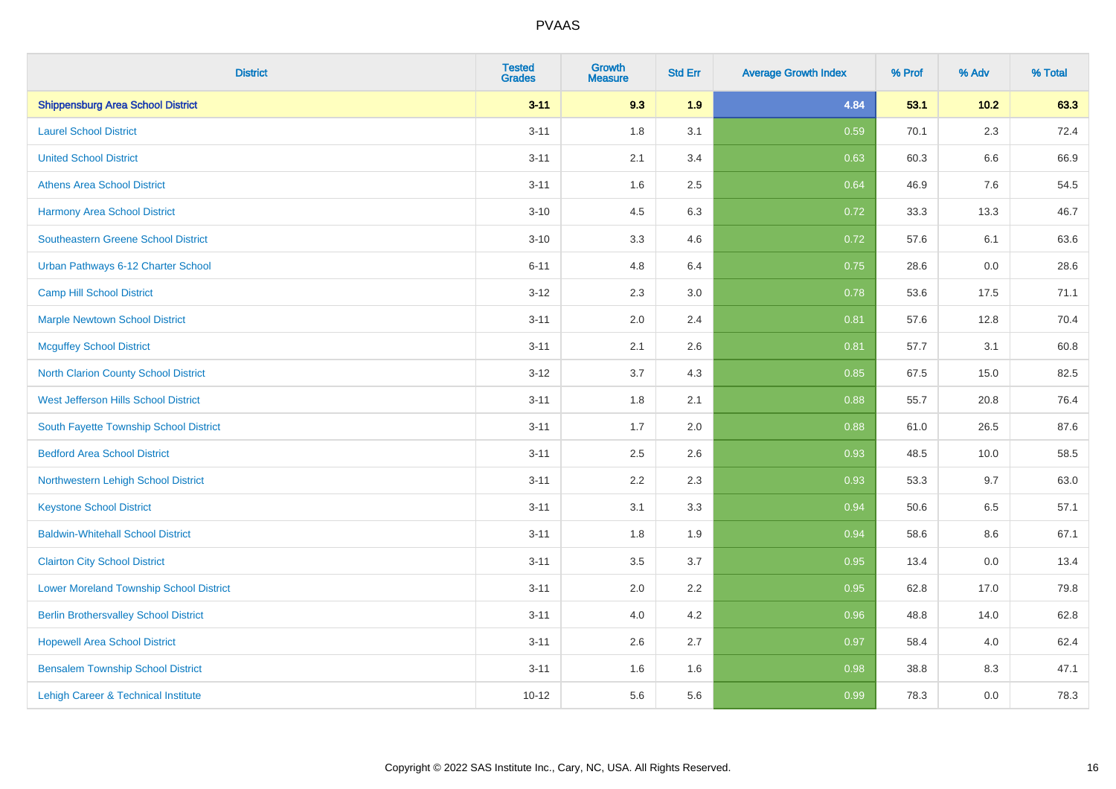| <b>District</b>                                | <b>Tested</b><br><b>Grades</b> | <b>Growth</b><br><b>Measure</b> | <b>Std Err</b> | <b>Average Growth Index</b> | % Prof | % Adv   | % Total |
|------------------------------------------------|--------------------------------|---------------------------------|----------------|-----------------------------|--------|---------|---------|
| <b>Shippensburg Area School District</b>       | $3 - 11$                       | 9.3                             | 1.9            | 4.84                        | 53.1   | 10.2    | 63.3    |
| <b>Laurel School District</b>                  | $3 - 11$                       | 1.8                             | 3.1            | 0.59                        | 70.1   | 2.3     | 72.4    |
| <b>United School District</b>                  | $3 - 11$                       | 2.1                             | 3.4            | 0.63                        | 60.3   | $6.6\,$ | 66.9    |
| <b>Athens Area School District</b>             | $3 - 11$                       | 1.6                             | 2.5            | 0.64                        | 46.9   | 7.6     | 54.5    |
| <b>Harmony Area School District</b>            | $3 - 10$                       | 4.5                             | 6.3            | 0.72                        | 33.3   | 13.3    | 46.7    |
| <b>Southeastern Greene School District</b>     | $3 - 10$                       | 3.3                             | 4.6            | 0.72                        | 57.6   | 6.1     | 63.6    |
| Urban Pathways 6-12 Charter School             | $6 - 11$                       | 4.8                             | 6.4            | 0.75                        | 28.6   | 0.0     | 28.6    |
| <b>Camp Hill School District</b>               | $3 - 12$                       | 2.3                             | 3.0            | 0.78                        | 53.6   | 17.5    | 71.1    |
| <b>Marple Newtown School District</b>          | $3 - 11$                       | 2.0                             | 2.4            | 0.81                        | 57.6   | 12.8    | 70.4    |
| <b>Mcguffey School District</b>                | $3 - 11$                       | 2.1                             | 2.6            | 0.81                        | 57.7   | 3.1     | 60.8    |
| North Clarion County School District           | $3 - 12$                       | 3.7                             | 4.3            | 0.85                        | 67.5   | 15.0    | 82.5    |
| West Jefferson Hills School District           | $3 - 11$                       | 1.8                             | 2.1            | 0.88                        | 55.7   | 20.8    | 76.4    |
| South Fayette Township School District         | $3 - 11$                       | 1.7                             | 2.0            | 0.88                        | 61.0   | 26.5    | 87.6    |
| <b>Bedford Area School District</b>            | $3 - 11$                       | 2.5                             | 2.6            | 0.93                        | 48.5   | 10.0    | 58.5    |
| Northwestern Lehigh School District            | $3 - 11$                       | 2.2                             | 2.3            | 0.93                        | 53.3   | 9.7     | 63.0    |
| <b>Keystone School District</b>                | $3 - 11$                       | 3.1                             | 3.3            | 0.94                        | 50.6   | 6.5     | 57.1    |
| <b>Baldwin-Whitehall School District</b>       | $3 - 11$                       | 1.8                             | 1.9            | 0.94                        | 58.6   | 8.6     | 67.1    |
| <b>Clairton City School District</b>           | $3 - 11$                       | 3.5                             | 3.7            | 0.95                        | 13.4   | 0.0     | 13.4    |
| <b>Lower Moreland Township School District</b> | $3 - 11$                       | 2.0                             | 2.2            | 0.95                        | 62.8   | 17.0    | 79.8    |
| <b>Berlin Brothersvalley School District</b>   | $3 - 11$                       | 4.0                             | 4.2            | 0.96                        | 48.8   | 14.0    | 62.8    |
| <b>Hopewell Area School District</b>           | $3 - 11$                       | 2.6                             | 2.7            | 0.97                        | 58.4   | 4.0     | 62.4    |
| <b>Bensalem Township School District</b>       | $3 - 11$                       | 1.6                             | 1.6            | 0.98                        | 38.8   | 8.3     | 47.1    |
| Lehigh Career & Technical Institute            | $10 - 12$                      | 5.6                             | 5.6            | 0.99                        | 78.3   | 0.0     | 78.3    |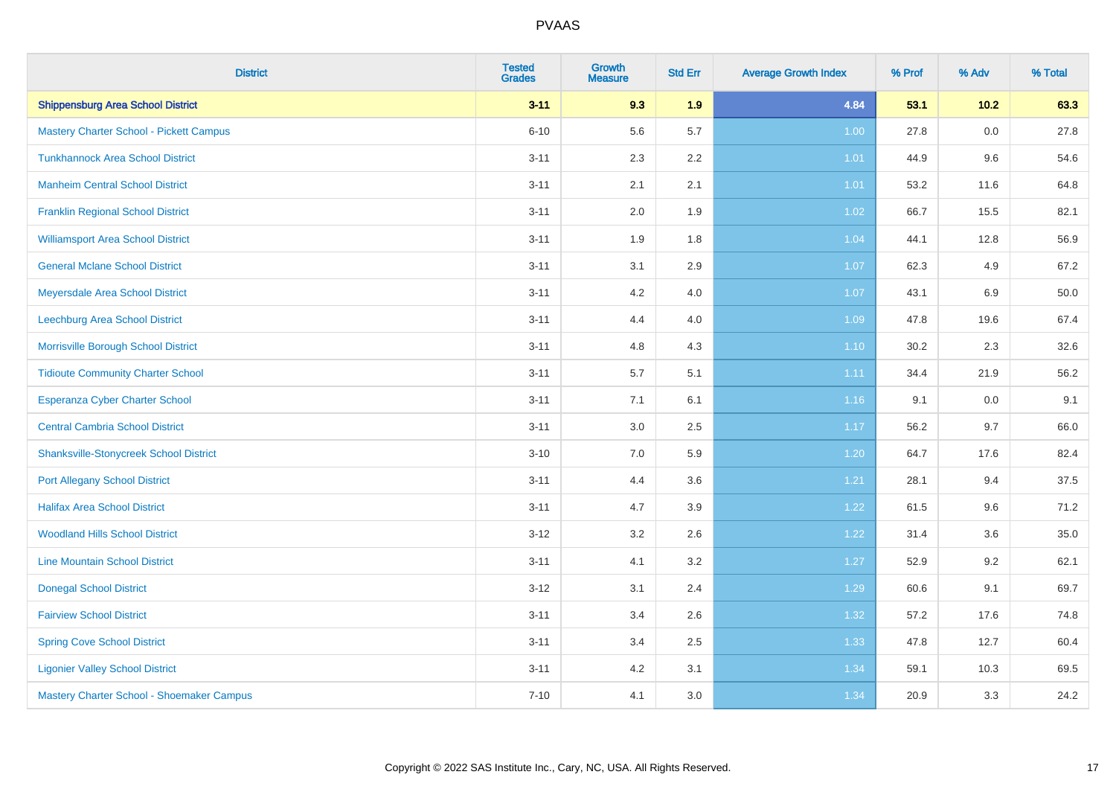| <b>District</b>                                | <b>Tested</b><br><b>Grades</b> | <b>Growth</b><br><b>Measure</b> | <b>Std Err</b> | <b>Average Growth Index</b> | % Prof | % Adv  | % Total |
|------------------------------------------------|--------------------------------|---------------------------------|----------------|-----------------------------|--------|--------|---------|
| <b>Shippensburg Area School District</b>       | $3 - 11$                       | 9.3                             | 1.9            | 4.84                        | 53.1   | $10.2$ | 63.3    |
| <b>Mastery Charter School - Pickett Campus</b> | $6 - 10$                       | 5.6                             | 5.7            | 1.00                        | 27.8   | 0.0    | 27.8    |
| <b>Tunkhannock Area School District</b>        | $3 - 11$                       | 2.3                             | 2.2            | 1.01                        | 44.9   | 9.6    | 54.6    |
| <b>Manheim Central School District</b>         | $3 - 11$                       | 2.1                             | 2.1            | 1.01                        | 53.2   | 11.6   | 64.8    |
| <b>Franklin Regional School District</b>       | $3 - 11$                       | 2.0                             | 1.9            | 1.02                        | 66.7   | 15.5   | 82.1    |
| <b>Williamsport Area School District</b>       | $3 - 11$                       | 1.9                             | 1.8            | 1.04                        | 44.1   | 12.8   | 56.9    |
| <b>General Mclane School District</b>          | $3 - 11$                       | 3.1                             | 2.9            | 1.07                        | 62.3   | 4.9    | 67.2    |
| Meyersdale Area School District                | $3 - 11$                       | 4.2                             | 4.0            | 1.07                        | 43.1   | 6.9    | 50.0    |
| Leechburg Area School District                 | $3 - 11$                       | 4.4                             | 4.0            | 1.09                        | 47.8   | 19.6   | 67.4    |
| Morrisville Borough School District            | $3 - 11$                       | 4.8                             | 4.3            | $1.10$                      | 30.2   | 2.3    | 32.6    |
| <b>Tidioute Community Charter School</b>       | $3 - 11$                       | 5.7                             | 5.1            | 1.11                        | 34.4   | 21.9   | 56.2    |
| <b>Esperanza Cyber Charter School</b>          | $3 - 11$                       | 7.1                             | 6.1            | 1.16                        | 9.1    | 0.0    | 9.1     |
| <b>Central Cambria School District</b>         | $3 - 11$                       | 3.0                             | 2.5            | 1.17                        | 56.2   | 9.7    | 66.0    |
| <b>Shanksville-Stonycreek School District</b>  | $3 - 10$                       | 7.0                             | 5.9            | 1.20                        | 64.7   | 17.6   | 82.4    |
| <b>Port Allegany School District</b>           | $3 - 11$                       | 4.4                             | 3.6            | 1.21                        | 28.1   | 9.4    | 37.5    |
| <b>Halifax Area School District</b>            | $3 - 11$                       | 4.7                             | 3.9            | 1.22                        | 61.5   | 9.6    | 71.2    |
| <b>Woodland Hills School District</b>          | $3 - 12$                       | 3.2                             | 2.6            | 1.22                        | 31.4   | 3.6    | 35.0    |
| <b>Line Mountain School District</b>           | $3 - 11$                       | 4.1                             | 3.2            | 1.27                        | 52.9   | 9.2    | 62.1    |
| <b>Donegal School District</b>                 | $3 - 12$                       | 3.1                             | 2.4            | 1.29                        | 60.6   | 9.1    | 69.7    |
| <b>Fairview School District</b>                | $3 - 11$                       | 3.4                             | 2.6            | 1.32                        | 57.2   | 17.6   | 74.8    |
| <b>Spring Cove School District</b>             | $3 - 11$                       | 3.4                             | 2.5            | 1.33                        | 47.8   | 12.7   | 60.4    |
| <b>Ligonier Valley School District</b>         | $3 - 11$                       | 4.2                             | 3.1            | 1.34                        | 59.1   | 10.3   | 69.5    |
| Mastery Charter School - Shoemaker Campus      | $7 - 10$                       | 4.1                             | 3.0            | 1.34                        | 20.9   | 3.3    | 24.2    |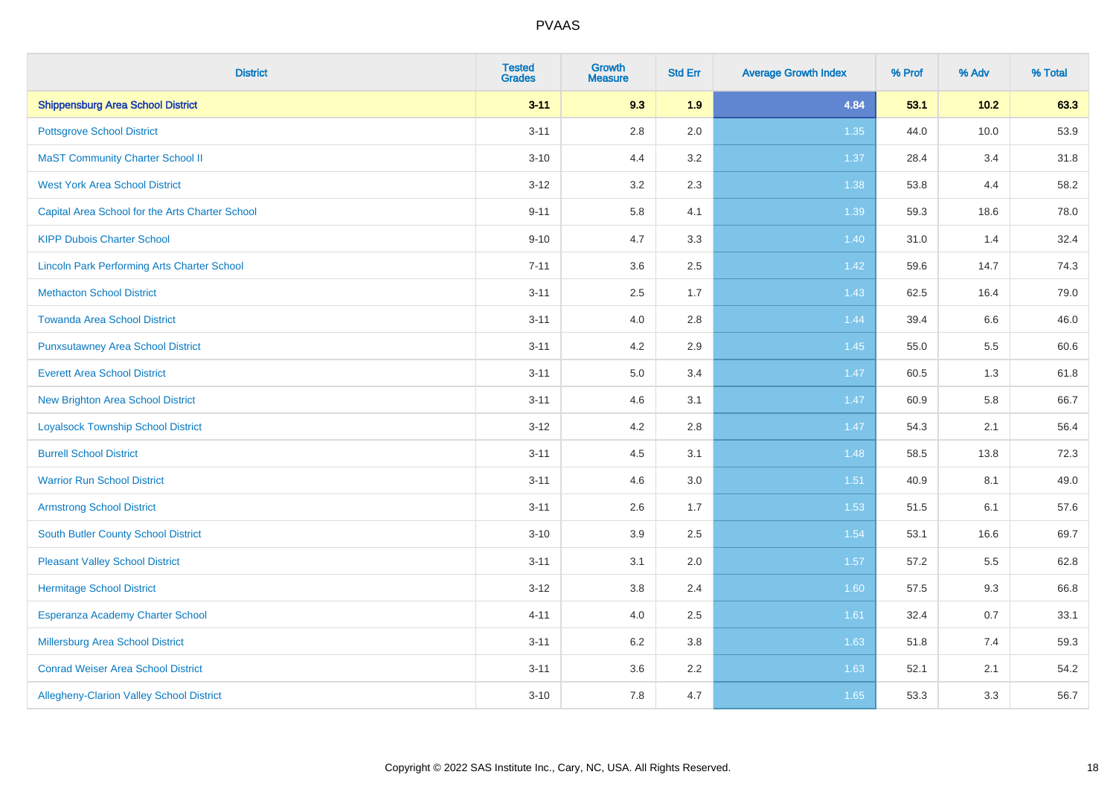| <b>District</b>                                    | <b>Tested</b><br><b>Grades</b> | <b>Growth</b><br><b>Measure</b> | <b>Std Err</b> | <b>Average Growth Index</b> | % Prof | % Adv  | % Total |
|----------------------------------------------------|--------------------------------|---------------------------------|----------------|-----------------------------|--------|--------|---------|
| <b>Shippensburg Area School District</b>           | $3 - 11$                       | 9.3                             | 1.9            | 4.84                        | 53.1   | $10.2$ | 63.3    |
| <b>Pottsgrove School District</b>                  | $3 - 11$                       | $2.8\,$                         | 2.0            | 1.35                        | 44.0   | 10.0   | 53.9    |
| <b>MaST Community Charter School II</b>            | $3 - 10$                       | 4.4                             | 3.2            | 1.37                        | 28.4   | 3.4    | 31.8    |
| <b>West York Area School District</b>              | $3 - 12$                       | 3.2                             | 2.3            | 1.38                        | 53.8   | 4.4    | 58.2    |
| Capital Area School for the Arts Charter School    | $9 - 11$                       | 5.8                             | 4.1            | 1.39                        | 59.3   | 18.6   | 78.0    |
| <b>KIPP Dubois Charter School</b>                  | $9 - 10$                       | 4.7                             | 3.3            | 1.40                        | 31.0   | 1.4    | 32.4    |
| <b>Lincoln Park Performing Arts Charter School</b> | $7 - 11$                       | 3.6                             | 2.5            | $1.42$                      | 59.6   | 14.7   | 74.3    |
| <b>Methacton School District</b>                   | $3 - 11$                       | 2.5                             | 1.7            | 1.43                        | 62.5   | 16.4   | 79.0    |
| <b>Towanda Area School District</b>                | $3 - 11$                       | 4.0                             | 2.8            | 1.44                        | 39.4   | 6.6    | 46.0    |
| <b>Punxsutawney Area School District</b>           | $3 - 11$                       | 4.2                             | 2.9            | $1.45$                      | 55.0   | 5.5    | 60.6    |
| <b>Everett Area School District</b>                | $3 - 11$                       | 5.0                             | 3.4            | 1.47                        | 60.5   | 1.3    | 61.8    |
| New Brighton Area School District                  | $3 - 11$                       | 4.6                             | 3.1            | $1.47$                      | 60.9   | 5.8    | 66.7    |
| <b>Loyalsock Township School District</b>          | $3 - 12$                       | 4.2                             | 2.8            | 1.47                        | 54.3   | 2.1    | 56.4    |
| <b>Burrell School District</b>                     | $3 - 11$                       | 4.5                             | 3.1            | 1.48                        | 58.5   | 13.8   | 72.3    |
| <b>Warrior Run School District</b>                 | $3 - 11$                       | 4.6                             | 3.0            | 1.51                        | 40.9   | 8.1    | 49.0    |
| <b>Armstrong School District</b>                   | $3 - 11$                       | 2.6                             | 1.7            | 1.53                        | 51.5   | 6.1    | 57.6    |
| South Butler County School District                | $3 - 10$                       | 3.9                             | 2.5            | 1.54                        | 53.1   | 16.6   | 69.7    |
| <b>Pleasant Valley School District</b>             | $3 - 11$                       | 3.1                             | 2.0            | 1.57                        | 57.2   | 5.5    | 62.8    |
| <b>Hermitage School District</b>                   | $3 - 12$                       | 3.8                             | 2.4            | 1.60                        | 57.5   | 9.3    | 66.8    |
| Esperanza Academy Charter School                   | $4 - 11$                       | 4.0                             | 2.5            | 1.61                        | 32.4   | 0.7    | 33.1    |
| Millersburg Area School District                   | $3 - 11$                       | 6.2                             | $3.8\,$        | 1.63                        | 51.8   | 7.4    | 59.3    |
| <b>Conrad Weiser Area School District</b>          | $3 - 11$                       | 3.6                             | 2.2            | 1.63                        | 52.1   | 2.1    | 54.2    |
| Allegheny-Clarion Valley School District           | $3 - 10$                       | 7.8                             | 4.7            | 1.65                        | 53.3   | 3.3    | 56.7    |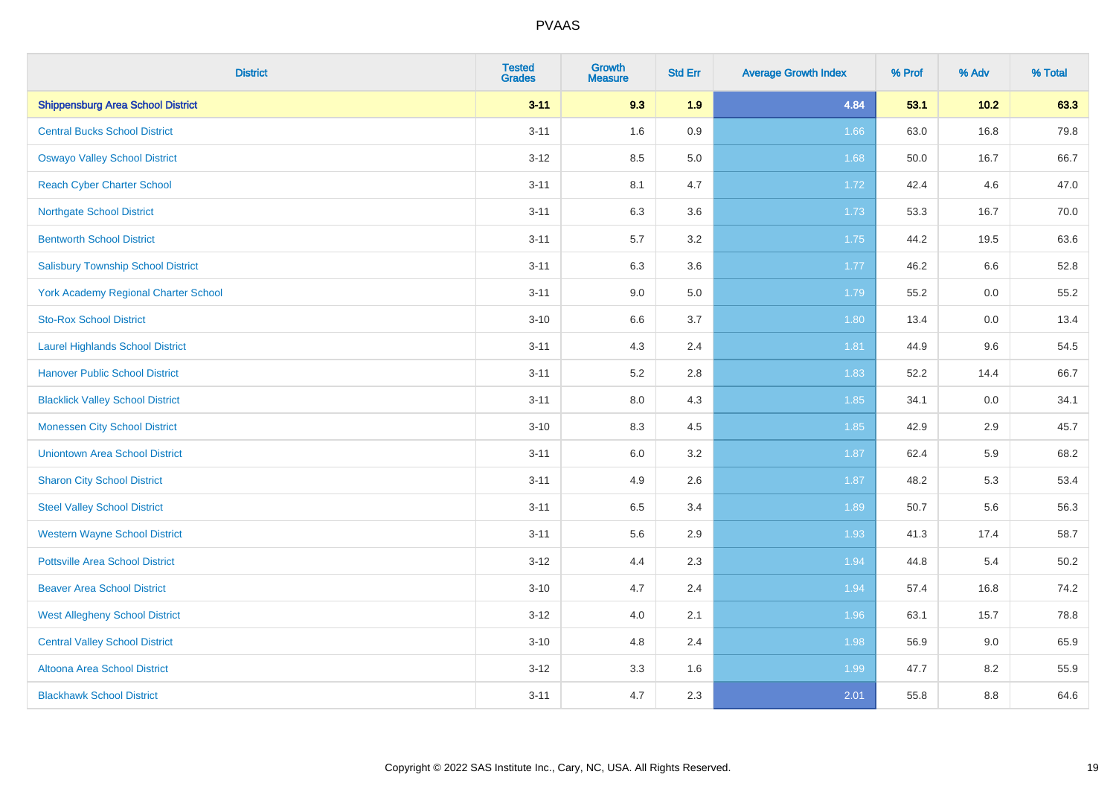| <b>District</b>                             | <b>Tested</b><br><b>Grades</b> | <b>Growth</b><br><b>Measure</b> | <b>Std Err</b> | <b>Average Growth Index</b> | % Prof | % Adv | % Total  |
|---------------------------------------------|--------------------------------|---------------------------------|----------------|-----------------------------|--------|-------|----------|
| <b>Shippensburg Area School District</b>    | $3 - 11$                       | 9.3                             | 1.9            | 4.84                        | 53.1   | 10.2  | 63.3     |
| <b>Central Bucks School District</b>        | $3 - 11$                       | 1.6                             | 0.9            | 1.66                        | 63.0   | 16.8  | 79.8     |
| <b>Oswayo Valley School District</b>        | $3 - 12$                       | 8.5                             | 5.0            | 1.68                        | 50.0   | 16.7  | 66.7     |
| <b>Reach Cyber Charter School</b>           | $3 - 11$                       | 8.1                             | 4.7            | 1.72                        | 42.4   | 4.6   | 47.0     |
| <b>Northgate School District</b>            | $3 - 11$                       | 6.3                             | 3.6            | 1.73                        | 53.3   | 16.7  | 70.0     |
| <b>Bentworth School District</b>            | $3 - 11$                       | 5.7                             | 3.2            | 1.75                        | 44.2   | 19.5  | 63.6     |
| <b>Salisbury Township School District</b>   | $3 - 11$                       | 6.3                             | 3.6            | 1.77                        | 46.2   | 6.6   | 52.8     |
| <b>York Academy Regional Charter School</b> | $3 - 11$                       | 9.0                             | 5.0            | 1.79                        | 55.2   | 0.0   | 55.2     |
| <b>Sto-Rox School District</b>              | $3 - 10$                       | 6.6                             | 3.7            | 1.80                        | 13.4   | 0.0   | 13.4     |
| <b>Laurel Highlands School District</b>     | $3 - 11$                       | 4.3                             | 2.4            | 1.81                        | 44.9   | 9.6   | 54.5     |
| <b>Hanover Public School District</b>       | $3 - 11$                       | 5.2                             | 2.8            | 1.83                        | 52.2   | 14.4  | 66.7     |
| <b>Blacklick Valley School District</b>     | $3 - 11$                       | 8.0                             | 4.3            | 1.85                        | 34.1   | 0.0   | 34.1     |
| <b>Monessen City School District</b>        | $3 - 10$                       | 8.3                             | 4.5            | 1.85                        | 42.9   | 2.9   | 45.7     |
| <b>Uniontown Area School District</b>       | $3 - 11$                       | $6.0\,$                         | 3.2            | 1.87                        | 62.4   | 5.9   | 68.2     |
| <b>Sharon City School District</b>          | $3 - 11$                       | 4.9                             | 2.6            | 1.87                        | 48.2   | 5.3   | 53.4     |
| <b>Steel Valley School District</b>         | $3 - 11$                       | 6.5                             | 3.4            | 1.89                        | 50.7   | 5.6   | 56.3     |
| <b>Western Wayne School District</b>        | $3 - 11$                       | 5.6                             | 2.9            | 1.93                        | 41.3   | 17.4  | 58.7     |
| <b>Pottsville Area School District</b>      | $3 - 12$                       | 4.4                             | 2.3            | 1.94                        | 44.8   | 5.4   | $50.2\,$ |
| <b>Beaver Area School District</b>          | $3 - 10$                       | 4.7                             | 2.4            | 1.94                        | 57.4   | 16.8  | 74.2     |
| <b>West Allegheny School District</b>       | $3-12$                         | 4.0                             | 2.1            | 1.96                        | 63.1   | 15.7  | 78.8     |
| <b>Central Valley School District</b>       | $3 - 10$                       | 4.8                             | 2.4            | 1.98                        | 56.9   | 9.0   | 65.9     |
| Altoona Area School District                | $3 - 12$                       | 3.3                             | 1.6            | 1.99                        | 47.7   | 8.2   | 55.9     |
| <b>Blackhawk School District</b>            | $3 - 11$                       | 4.7                             | 2.3            | 2.01                        | 55.8   | 8.8   | 64.6     |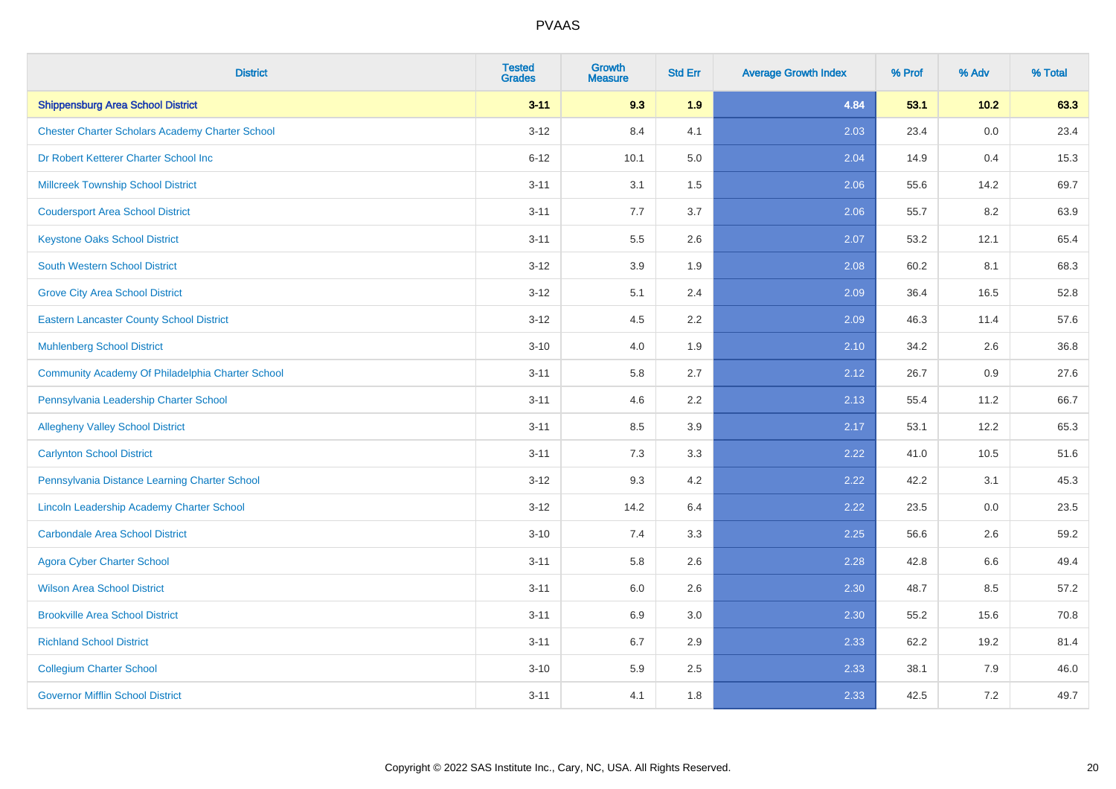| <b>District</b>                                        | <b>Tested</b><br><b>Grades</b> | <b>Growth</b><br><b>Measure</b> | <b>Std Err</b> | <b>Average Growth Index</b> | % Prof | % Adv   | % Total |
|--------------------------------------------------------|--------------------------------|---------------------------------|----------------|-----------------------------|--------|---------|---------|
| <b>Shippensburg Area School District</b>               | $3 - 11$                       | 9.3                             | 1.9            | 4.84                        | 53.1   | $10.2$  | 63.3    |
| <b>Chester Charter Scholars Academy Charter School</b> | $3 - 12$                       | 8.4                             | 4.1            | 2.03                        | 23.4   | 0.0     | 23.4    |
| Dr Robert Ketterer Charter School Inc                  | $6 - 12$                       | 10.1                            | 5.0            | 2.04                        | 14.9   | 0.4     | 15.3    |
| <b>Millcreek Township School District</b>              | $3 - 11$                       | 3.1                             | 1.5            | 2.06                        | 55.6   | 14.2    | 69.7    |
| <b>Coudersport Area School District</b>                | $3 - 11$                       | 7.7                             | 3.7            | 2.06                        | 55.7   | 8.2     | 63.9    |
| <b>Keystone Oaks School District</b>                   | $3 - 11$                       | 5.5                             | 2.6            | 2.07                        | 53.2   | 12.1    | 65.4    |
| <b>South Western School District</b>                   | $3 - 12$                       | 3.9                             | 1.9            | 2.08                        | 60.2   | 8.1     | 68.3    |
| <b>Grove City Area School District</b>                 | $3 - 12$                       | 5.1                             | 2.4            | 2.09                        | 36.4   | 16.5    | 52.8    |
| <b>Eastern Lancaster County School District</b>        | $3 - 12$                       | 4.5                             | 2.2            | 2.09                        | 46.3   | 11.4    | 57.6    |
| <b>Muhlenberg School District</b>                      | $3 - 10$                       | 4.0                             | 1.9            | 2.10                        | 34.2   | 2.6     | 36.8    |
| Community Academy Of Philadelphia Charter School       | $3 - 11$                       | 5.8                             | 2.7            | 2.12                        | 26.7   | 0.9     | 27.6    |
| Pennsylvania Leadership Charter School                 | $3 - 11$                       | 4.6                             | 2.2            | 2.13                        | 55.4   | 11.2    | 66.7    |
| <b>Allegheny Valley School District</b>                | $3 - 11$                       | 8.5                             | 3.9            | 2.17                        | 53.1   | 12.2    | 65.3    |
| <b>Carlynton School District</b>                       | $3 - 11$                       | 7.3                             | 3.3            | 2.22                        | 41.0   | 10.5    | 51.6    |
| Pennsylvania Distance Learning Charter School          | $3 - 12$                       | 9.3                             | 4.2            | 2.22                        | 42.2   | 3.1     | 45.3    |
| Lincoln Leadership Academy Charter School              | $3 - 12$                       | 14.2                            | 6.4            | 2.22                        | 23.5   | $0.0\,$ | 23.5    |
| <b>Carbondale Area School District</b>                 | $3 - 10$                       | 7.4                             | 3.3            | 2.25                        | 56.6   | 2.6     | 59.2    |
| <b>Agora Cyber Charter School</b>                      | $3 - 11$                       | 5.8                             | 2.6            | 2.28                        | 42.8   | 6.6     | 49.4    |
| <b>Wilson Area School District</b>                     | $3 - 11$                       | 6.0                             | 2.6            | 2.30                        | 48.7   | 8.5     | 57.2    |
| <b>Brookville Area School District</b>                 | $3 - 11$                       | 6.9                             | 3.0            | 2.30                        | 55.2   | 15.6    | 70.8    |
| <b>Richland School District</b>                        | $3 - 11$                       | 6.7                             | 2.9            | 2.33                        | 62.2   | 19.2    | 81.4    |
| <b>Collegium Charter School</b>                        | $3 - 10$                       | 5.9                             | 2.5            | 2.33                        | 38.1   | 7.9     | 46.0    |
| <b>Governor Mifflin School District</b>                | $3 - 11$                       | 4.1                             | 1.8            | 2.33                        | 42.5   | 7.2     | 49.7    |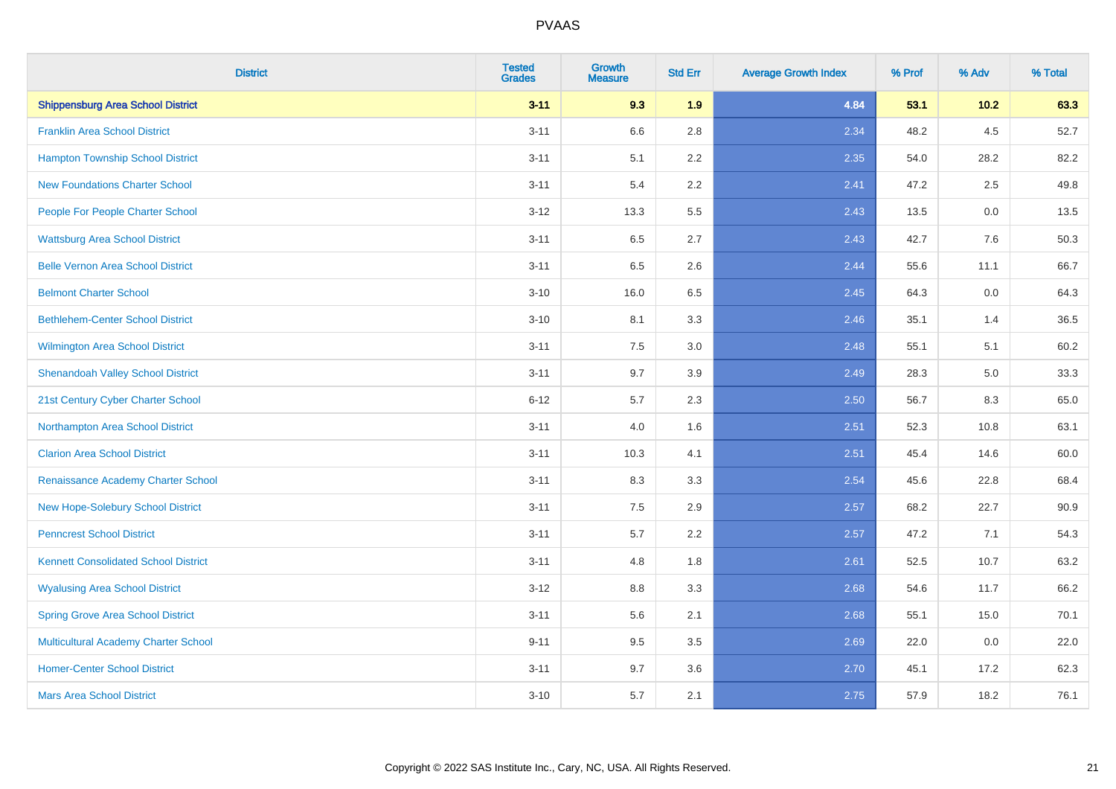| <b>District</b>                             | <b>Tested</b><br><b>Grades</b> | <b>Growth</b><br><b>Measure</b> | <b>Std Err</b> | <b>Average Growth Index</b> | % Prof | % Adv  | % Total |
|---------------------------------------------|--------------------------------|---------------------------------|----------------|-----------------------------|--------|--------|---------|
| <b>Shippensburg Area School District</b>    | $3 - 11$                       | 9.3                             | 1.9            | 4.84                        | 53.1   | $10.2$ | 63.3    |
| <b>Franklin Area School District</b>        | $3 - 11$                       | 6.6                             | 2.8            | 2.34                        | 48.2   | 4.5    | 52.7    |
| <b>Hampton Township School District</b>     | $3 - 11$                       | 5.1                             | 2.2            | 2.35                        | 54.0   | 28.2   | 82.2    |
| <b>New Foundations Charter School</b>       | $3 - 11$                       | 5.4                             | 2.2            | 2.41                        | 47.2   | 2.5    | 49.8    |
| People For People Charter School            | $3 - 12$                       | 13.3                            | 5.5            | 2.43                        | 13.5   | 0.0    | 13.5    |
| <b>Wattsburg Area School District</b>       | $3 - 11$                       | 6.5                             | 2.7            | 2.43                        | 42.7   | 7.6    | 50.3    |
| <b>Belle Vernon Area School District</b>    | $3 - 11$                       | 6.5                             | 2.6            | 2.44                        | 55.6   | 11.1   | 66.7    |
| <b>Belmont Charter School</b>               | $3 - 10$                       | 16.0                            | 6.5            | 2.45                        | 64.3   | 0.0    | 64.3    |
| <b>Bethlehem-Center School District</b>     | $3 - 10$                       | 8.1                             | 3.3            | 2.46                        | 35.1   | 1.4    | 36.5    |
| <b>Wilmington Area School District</b>      | $3 - 11$                       | 7.5                             | 3.0            | 2.48                        | 55.1   | 5.1    | 60.2    |
| <b>Shenandoah Valley School District</b>    | $3 - 11$                       | 9.7                             | 3.9            | 2.49                        | 28.3   | 5.0    | 33.3    |
| 21st Century Cyber Charter School           | $6 - 12$                       | 5.7                             | 2.3            | 2.50                        | 56.7   | 8.3    | 65.0    |
| Northampton Area School District            | $3 - 11$                       | 4.0                             | 1.6            | 2.51                        | 52.3   | 10.8   | 63.1    |
| <b>Clarion Area School District</b>         | $3 - 11$                       | 10.3                            | 4.1            | 2.51                        | 45.4   | 14.6   | 60.0    |
| Renaissance Academy Charter School          | $3 - 11$                       | 8.3                             | 3.3            | 2.54                        | 45.6   | 22.8   | 68.4    |
| New Hope-Solebury School District           | $3 - 11$                       | $7.5\,$                         | 2.9            | 2.57                        | 68.2   | 22.7   | 90.9    |
| <b>Penncrest School District</b>            | $3 - 11$                       | 5.7                             | 2.2            | 2.57                        | 47.2   | 7.1    | 54.3    |
| <b>Kennett Consolidated School District</b> | $3 - 11$                       | 4.8                             | 1.8            | 2.61                        | 52.5   | 10.7   | 63.2    |
| <b>Wyalusing Area School District</b>       | $3 - 12$                       | $8.8\,$                         | 3.3            | 2.68                        | 54.6   | 11.7   | 66.2    |
| <b>Spring Grove Area School District</b>    | $3 - 11$                       | 5.6                             | 2.1            | 2.68                        | 55.1   | 15.0   | 70.1    |
| <b>Multicultural Academy Charter School</b> | $9 - 11$                       | 9.5                             | 3.5            | 2.69                        | 22.0   | 0.0    | 22.0    |
| <b>Homer-Center School District</b>         | $3 - 11$                       | 9.7                             | 3.6            | 2.70                        | 45.1   | 17.2   | 62.3    |
| <b>Mars Area School District</b>            | $3 - 10$                       | 5.7                             | 2.1            | 2.75                        | 57.9   | 18.2   | 76.1    |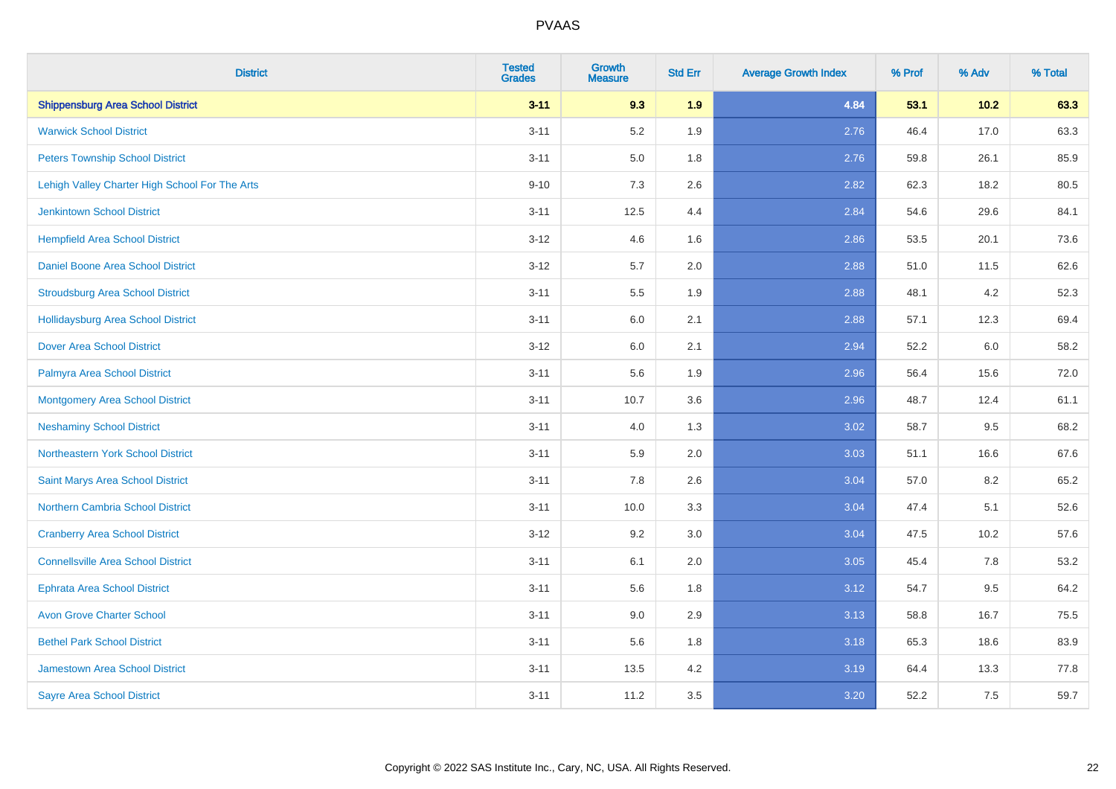| <b>District</b>                                | <b>Tested</b><br><b>Grades</b> | <b>Growth</b><br><b>Measure</b> | <b>Std Err</b> | <b>Average Growth Index</b> | % Prof | % Adv  | % Total |
|------------------------------------------------|--------------------------------|---------------------------------|----------------|-----------------------------|--------|--------|---------|
| <b>Shippensburg Area School District</b>       | $3 - 11$                       | 9.3                             | 1.9            | 4.84                        | 53.1   | $10.2$ | 63.3    |
| <b>Warwick School District</b>                 | $3 - 11$                       | 5.2                             | 1.9            | 2.76                        | 46.4   | 17.0   | 63.3    |
| <b>Peters Township School District</b>         | $3 - 11$                       | 5.0                             | 1.8            | 2.76                        | 59.8   | 26.1   | 85.9    |
| Lehigh Valley Charter High School For The Arts | $9 - 10$                       | $7.3$                           | 2.6            | 2.82                        | 62.3   | 18.2   | 80.5    |
| <b>Jenkintown School District</b>              | $3 - 11$                       | 12.5                            | 4.4            | 2.84                        | 54.6   | 29.6   | 84.1    |
| <b>Hempfield Area School District</b>          | $3 - 12$                       | 4.6                             | 1.6            | 2.86                        | 53.5   | 20.1   | 73.6    |
| Daniel Boone Area School District              | $3 - 12$                       | 5.7                             | 2.0            | 2.88                        | 51.0   | 11.5   | 62.6    |
| <b>Stroudsburg Area School District</b>        | $3 - 11$                       | $5.5\,$                         | 1.9            | 2.88                        | 48.1   | 4.2    | 52.3    |
| <b>Hollidaysburg Area School District</b>      | $3 - 11$                       | 6.0                             | 2.1            | 2.88                        | 57.1   | 12.3   | 69.4    |
| <b>Dover Area School District</b>              | $3 - 12$                       | 6.0                             | 2.1            | 2.94                        | 52.2   | 6.0    | 58.2    |
| Palmyra Area School District                   | $3 - 11$                       | 5.6                             | 1.9            | 2.96                        | 56.4   | 15.6   | 72.0    |
| Montgomery Area School District                | $3 - 11$                       | 10.7                            | 3.6            | 2.96                        | 48.7   | 12.4   | 61.1    |
| <b>Neshaminy School District</b>               | $3 - 11$                       | 4.0                             | 1.3            | 3.02                        | 58.7   | 9.5    | 68.2    |
| Northeastern York School District              | $3 - 11$                       | 5.9                             | 2.0            | 3.03                        | 51.1   | 16.6   | 67.6    |
| Saint Marys Area School District               | $3 - 11$                       | $7.8\,$                         | 2.6            | 3.04                        | 57.0   | 8.2    | 65.2    |
| <b>Northern Cambria School District</b>        | $3 - 11$                       | 10.0                            | 3.3            | 3.04                        | 47.4   | 5.1    | 52.6    |
| <b>Cranberry Area School District</b>          | $3 - 12$                       | 9.2                             | 3.0            | 3.04                        | 47.5   | 10.2   | 57.6    |
| <b>Connellsville Area School District</b>      | $3 - 11$                       | 6.1                             | 2.0            | 3.05                        | 45.4   | 7.8    | 53.2    |
| <b>Ephrata Area School District</b>            | $3 - 11$                       | 5.6                             | 1.8            | 3.12                        | 54.7   | 9.5    | 64.2    |
| <b>Avon Grove Charter School</b>               | $3 - 11$                       | 9.0                             | 2.9            | 3.13                        | 58.8   | 16.7   | 75.5    |
| <b>Bethel Park School District</b>             | $3 - 11$                       | 5.6                             | 1.8            | 3.18                        | 65.3   | 18.6   | 83.9    |
| <b>Jamestown Area School District</b>          | $3 - 11$                       | 13.5                            | 4.2            | 3.19                        | 64.4   | 13.3   | 77.8    |
| <b>Sayre Area School District</b>              | $3 - 11$                       | 11.2                            | 3.5            | 3.20                        | 52.2   | 7.5    | 59.7    |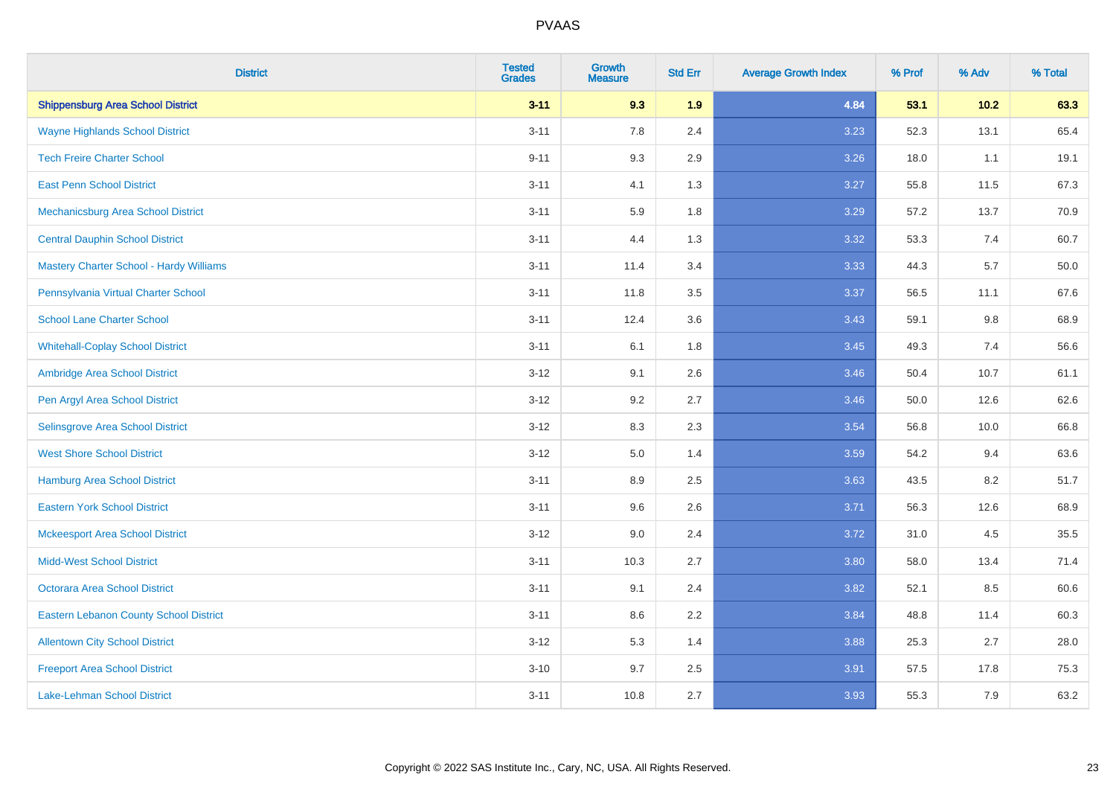| <b>District</b>                                | <b>Tested</b><br><b>Grades</b> | Growth<br><b>Measure</b> | <b>Std Err</b> | <b>Average Growth Index</b> | % Prof | % Adv   | % Total |
|------------------------------------------------|--------------------------------|--------------------------|----------------|-----------------------------|--------|---------|---------|
| <b>Shippensburg Area School District</b>       | $3 - 11$                       | 9.3                      | 1.9            | 4.84                        | 53.1   | 10.2    | 63.3    |
| <b>Wayne Highlands School District</b>         | $3 - 11$                       | 7.8                      | 2.4            | 3.23                        | 52.3   | 13.1    | 65.4    |
| <b>Tech Freire Charter School</b>              | $9 - 11$                       | 9.3                      | 2.9            | 3.26                        | 18.0   | 1.1     | 19.1    |
| <b>East Penn School District</b>               | $3 - 11$                       | 4.1                      | 1.3            | 3.27                        | 55.8   | 11.5    | 67.3    |
| Mechanicsburg Area School District             | $3 - 11$                       | 5.9                      | 1.8            | 3.29                        | 57.2   | 13.7    | 70.9    |
| <b>Central Dauphin School District</b>         | $3 - 11$                       | 4.4                      | 1.3            | 3.32                        | 53.3   | 7.4     | 60.7    |
| <b>Mastery Charter School - Hardy Williams</b> | $3 - 11$                       | 11.4                     | 3.4            | 3.33                        | 44.3   | 5.7     | 50.0    |
| Pennsylvania Virtual Charter School            | $3 - 11$                       | 11.8                     | 3.5            | 3.37                        | 56.5   | 11.1    | 67.6    |
| <b>School Lane Charter School</b>              | $3 - 11$                       | 12.4                     | 3.6            | 3.43                        | 59.1   | $9.8\,$ | 68.9    |
| <b>Whitehall-Coplay School District</b>        | $3 - 11$                       | 6.1                      | 1.8            | 3.45                        | 49.3   | 7.4     | 56.6    |
| Ambridge Area School District                  | $3 - 12$                       | 9.1                      | 2.6            | 3.46                        | 50.4   | 10.7    | 61.1    |
| Pen Argyl Area School District                 | $3 - 12$                       | 9.2                      | 2.7            | 3.46                        | 50.0   | 12.6    | 62.6    |
| Selinsgrove Area School District               | $3 - 12$                       | 8.3                      | 2.3            | 3.54                        | 56.8   | 10.0    | 66.8    |
| <b>West Shore School District</b>              | $3 - 12$                       | 5.0                      | 1.4            | 3.59                        | 54.2   | 9.4     | 63.6    |
| <b>Hamburg Area School District</b>            | $3 - 11$                       | 8.9                      | 2.5            | 3.63                        | 43.5   | 8.2     | 51.7    |
| <b>Eastern York School District</b>            | $3 - 11$                       | 9.6                      | 2.6            | 3.71                        | 56.3   | 12.6    | 68.9    |
| <b>Mckeesport Area School District</b>         | $3 - 12$                       | 9.0                      | 2.4            | 3.72                        | 31.0   | 4.5     | 35.5    |
| <b>Midd-West School District</b>               | $3 - 11$                       | 10.3                     | 2.7            | 3.80                        | 58.0   | 13.4    | 71.4    |
| <b>Octorara Area School District</b>           | $3 - 11$                       | 9.1                      | 2.4            | 3.82                        | 52.1   | 8.5     | 60.6    |
| <b>Eastern Lebanon County School District</b>  | $3 - 11$                       | 8.6                      | 2.2            | 3.84                        | 48.8   | 11.4    | 60.3    |
| <b>Allentown City School District</b>          | $3 - 12$                       | 5.3                      | 1.4            | 3.88                        | 25.3   | 2.7     | 28.0    |
| <b>Freeport Area School District</b>           | $3 - 10$                       | 9.7                      | 2.5            | 3.91                        | 57.5   | 17.8    | 75.3    |
| <b>Lake-Lehman School District</b>             | $3 - 11$                       | 10.8                     | 2.7            | 3.93                        | 55.3   | 7.9     | 63.2    |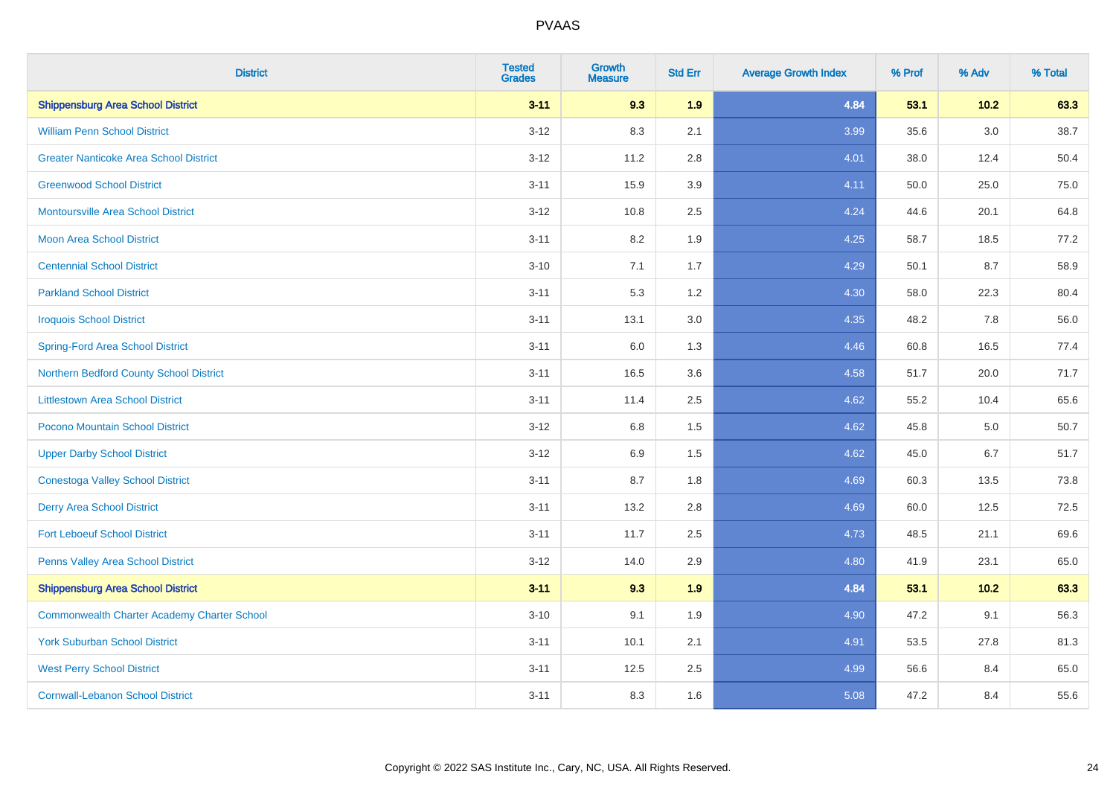| <b>District</b>                                    | <b>Tested</b><br><b>Grades</b> | <b>Growth</b><br><b>Measure</b> | <b>Std Err</b> | <b>Average Growth Index</b> | % Prof | % Adv | % Total |
|----------------------------------------------------|--------------------------------|---------------------------------|----------------|-----------------------------|--------|-------|---------|
| <b>Shippensburg Area School District</b>           | $3 - 11$                       | 9.3                             | 1.9            | 4.84                        | 53.1   | 10.2  | 63.3    |
| <b>William Penn School District</b>                | $3 - 12$                       | 8.3                             | 2.1            | 3.99                        | 35.6   | 3.0   | 38.7    |
| <b>Greater Nanticoke Area School District</b>      | $3 - 12$                       | 11.2                            | 2.8            | 4.01                        | 38.0   | 12.4  | 50.4    |
| <b>Greenwood School District</b>                   | $3 - 11$                       | 15.9                            | 3.9            | 4.11                        | 50.0   | 25.0  | 75.0    |
| <b>Montoursville Area School District</b>          | $3 - 12$                       | 10.8                            | 2.5            | 4.24                        | 44.6   | 20.1  | 64.8    |
| <b>Moon Area School District</b>                   | $3 - 11$                       | 8.2                             | 1.9            | 4.25                        | 58.7   | 18.5  | 77.2    |
| <b>Centennial School District</b>                  | $3 - 10$                       | 7.1                             | 1.7            | 4.29                        | 50.1   | 8.7   | 58.9    |
| <b>Parkland School District</b>                    | $3 - 11$                       | 5.3                             | 1.2            | 4.30                        | 58.0   | 22.3  | 80.4    |
| <b>Iroquois School District</b>                    | $3 - 11$                       | 13.1                            | 3.0            | 4.35                        | 48.2   | 7.8   | 56.0    |
| <b>Spring-Ford Area School District</b>            | $3 - 11$                       | 6.0                             | 1.3            | 4.46                        | 60.8   | 16.5  | 77.4    |
| Northern Bedford County School District            | $3 - 11$                       | 16.5                            | 3.6            | 4.58                        | 51.7   | 20.0  | 71.7    |
| <b>Littlestown Area School District</b>            | $3 - 11$                       | 11.4                            | 2.5            | 4.62                        | 55.2   | 10.4  | 65.6    |
| Pocono Mountain School District                    | $3 - 12$                       | 6.8                             | 1.5            | 4.62                        | 45.8   | 5.0   | 50.7    |
| <b>Upper Darby School District</b>                 | $3 - 12$                       | 6.9                             | 1.5            | 4.62                        | 45.0   | 6.7   | 51.7    |
| <b>Conestoga Valley School District</b>            | $3 - 11$                       | 8.7                             | 1.8            | 4.69                        | 60.3   | 13.5  | 73.8    |
| <b>Derry Area School District</b>                  | $3 - 11$                       | 13.2                            | 2.8            | 4.69                        | 60.0   | 12.5  | 72.5    |
| <b>Fort Leboeuf School District</b>                | $3 - 11$                       | 11.7                            | 2.5            | 4.73                        | 48.5   | 21.1  | 69.6    |
| <b>Penns Valley Area School District</b>           | $3 - 12$                       | 14.0                            | 2.9            | 4.80                        | 41.9   | 23.1  | 65.0    |
| <b>Shippensburg Area School District</b>           | $3 - 11$                       | 9.3                             | 1.9            | 4.84                        | 53.1   | 10.2  | 63.3    |
| <b>Commonwealth Charter Academy Charter School</b> | $3 - 10$                       | 9.1                             | 1.9            | 4.90                        | 47.2   | 9.1   | 56.3    |
| <b>York Suburban School District</b>               | $3 - 11$                       | 10.1                            | 2.1            | 4.91                        | 53.5   | 27.8  | 81.3    |
| <b>West Perry School District</b>                  | $3 - 11$                       | 12.5                            | 2.5            | 4.99                        | 56.6   | 8.4   | 65.0    |
| <b>Cornwall-Lebanon School District</b>            | $3 - 11$                       | 8.3                             | 1.6            | 5.08                        | 47.2   | 8.4   | 55.6    |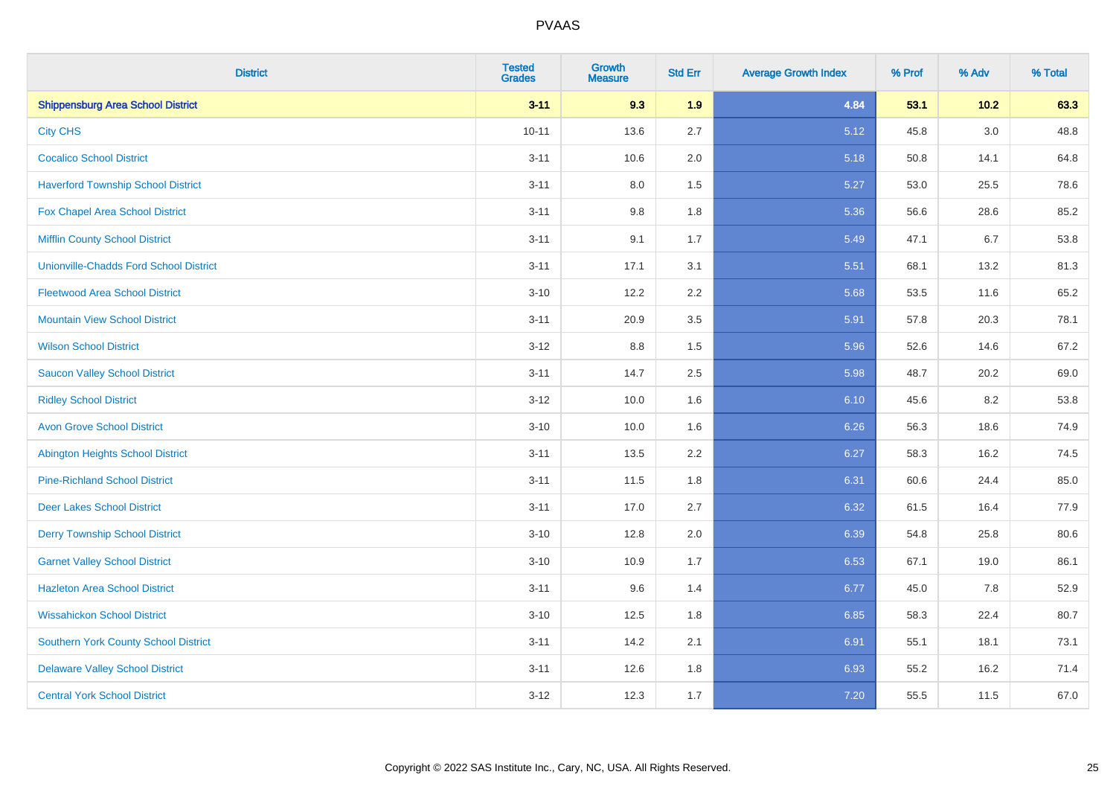| <b>District</b>                               | <b>Tested</b><br><b>Grades</b> | <b>Growth</b><br><b>Measure</b> | <b>Std Err</b> | <b>Average Growth Index</b> | % Prof | % Adv  | % Total |
|-----------------------------------------------|--------------------------------|---------------------------------|----------------|-----------------------------|--------|--------|---------|
| <b>Shippensburg Area School District</b>      | $3 - 11$                       | 9.3                             | 1.9            | 4.84                        | 53.1   | $10.2$ | 63.3    |
| <b>City CHS</b>                               | $10 - 11$                      | 13.6                            | 2.7            | 5.12                        | 45.8   | 3.0    | 48.8    |
| <b>Cocalico School District</b>               | $3 - 11$                       | 10.6                            | 2.0            | 5.18                        | 50.8   | 14.1   | 64.8    |
| <b>Haverford Township School District</b>     | $3 - 11$                       | $8.0\,$                         | 1.5            | 5.27                        | 53.0   | 25.5   | 78.6    |
| Fox Chapel Area School District               | $3 - 11$                       | 9.8                             | 1.8            | 5.36                        | 56.6   | 28.6   | 85.2    |
| <b>Mifflin County School District</b>         | $3 - 11$                       | 9.1                             | 1.7            | 5.49                        | 47.1   | 6.7    | 53.8    |
| <b>Unionville-Chadds Ford School District</b> | $3 - 11$                       | 17.1                            | 3.1            | 5.51                        | 68.1   | 13.2   | 81.3    |
| <b>Fleetwood Area School District</b>         | $3 - 10$                       | 12.2                            | 2.2            | 5.68                        | 53.5   | 11.6   | 65.2    |
| <b>Mountain View School District</b>          | $3 - 11$                       | 20.9                            | 3.5            | 5.91                        | 57.8   | 20.3   | 78.1    |
| <b>Wilson School District</b>                 | $3-12$                         | $8.8\,$                         | 1.5            | 5.96                        | 52.6   | 14.6   | 67.2    |
| <b>Saucon Valley School District</b>          | $3 - 11$                       | 14.7                            | 2.5            | 5.98                        | 48.7   | 20.2   | 69.0    |
| <b>Ridley School District</b>                 | $3 - 12$                       | 10.0                            | 1.6            | 6.10                        | 45.6   | 8.2    | 53.8    |
| <b>Avon Grove School District</b>             | $3 - 10$                       | 10.0                            | 1.6            | 6.26                        | 56.3   | 18.6   | 74.9    |
| <b>Abington Heights School District</b>       | $3 - 11$                       | 13.5                            | 2.2            | 6.27                        | 58.3   | 16.2   | 74.5    |
| <b>Pine-Richland School District</b>          | $3 - 11$                       | 11.5                            | 1.8            | 6.31                        | 60.6   | 24.4   | 85.0    |
| <b>Deer Lakes School District</b>             | $3 - 11$                       | 17.0                            | 2.7            | 6.32                        | 61.5   | 16.4   | 77.9    |
| <b>Derry Township School District</b>         | $3 - 10$                       | 12.8                            | 2.0            | 6.39                        | 54.8   | 25.8   | 80.6    |
| <b>Garnet Valley School District</b>          | $3 - 10$                       | 10.9                            | 1.7            | 6.53                        | 67.1   | 19.0   | 86.1    |
| <b>Hazleton Area School District</b>          | $3 - 11$                       | 9.6                             | 1.4            | 6.77                        | 45.0   | 7.8    | 52.9    |
| <b>Wissahickon School District</b>            | $3 - 10$                       | 12.5                            | 1.8            | 6.85                        | 58.3   | 22.4   | 80.7    |
| <b>Southern York County School District</b>   | $3 - 11$                       | 14.2                            | 2.1            | 6.91                        | 55.1   | 18.1   | 73.1    |
| <b>Delaware Valley School District</b>        | $3 - 11$                       | 12.6                            | 1.8            | 6.93                        | 55.2   | 16.2   | 71.4    |
| <b>Central York School District</b>           | $3-12$                         | 12.3                            | 1.7            | 7.20                        | 55.5   | 11.5   | 67.0    |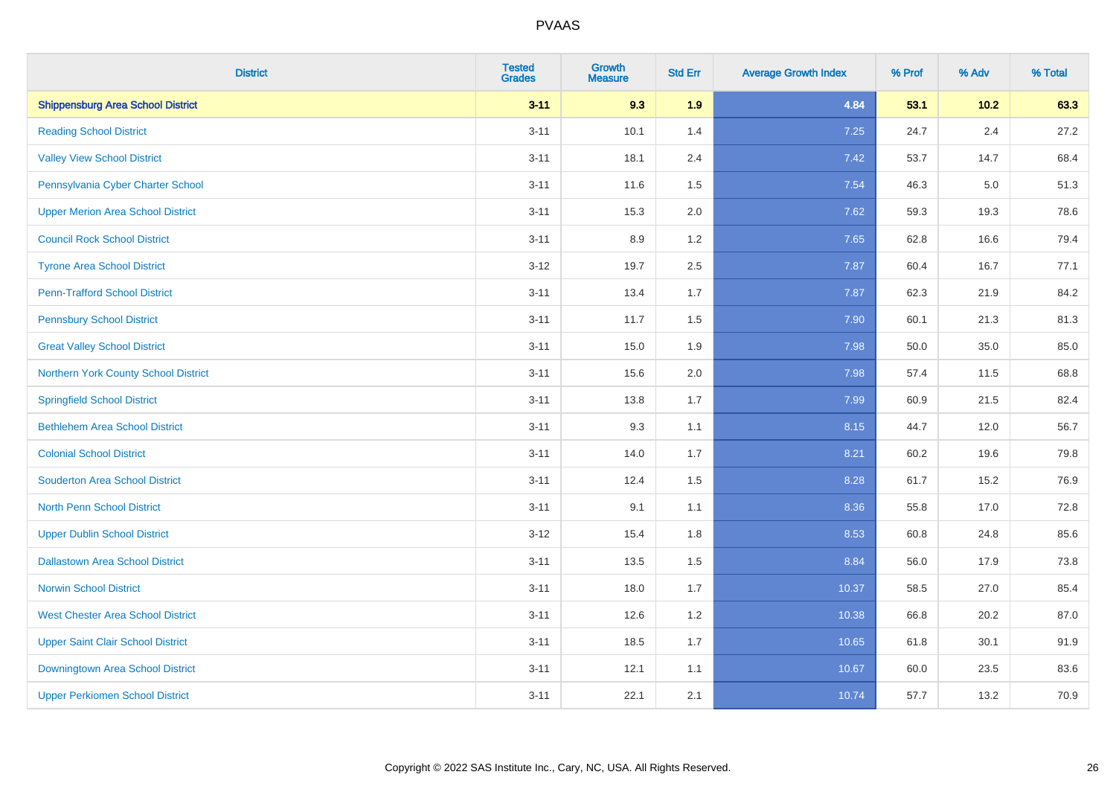| <b>District</b>                          | <b>Tested</b><br><b>Grades</b> | <b>Growth</b><br><b>Measure</b> | <b>Std Err</b> | <b>Average Growth Index</b> | % Prof | % Adv   | % Total |
|------------------------------------------|--------------------------------|---------------------------------|----------------|-----------------------------|--------|---------|---------|
| <b>Shippensburg Area School District</b> | $3 - 11$                       | 9.3                             | 1.9            | 4.84                        | 53.1   | 10.2    | 63.3    |
| <b>Reading School District</b>           | $3 - 11$                       | 10.1                            | 1.4            | 7.25                        | 24.7   | $2.4\,$ | 27.2    |
| <b>Valley View School District</b>       | $3 - 11$                       | 18.1                            | 2.4            | 7.42                        | 53.7   | 14.7    | 68.4    |
| Pennsylvania Cyber Charter School        | $3 - 11$                       | 11.6                            | 1.5            | 7.54                        | 46.3   | 5.0     | 51.3    |
| <b>Upper Merion Area School District</b> | $3 - 11$                       | 15.3                            | 2.0            | 7.62                        | 59.3   | 19.3    | 78.6    |
| <b>Council Rock School District</b>      | $3 - 11$                       | 8.9                             | 1.2            | 7.65                        | 62.8   | 16.6    | 79.4    |
| <b>Tyrone Area School District</b>       | $3 - 12$                       | 19.7                            | 2.5            | 7.87                        | 60.4   | 16.7    | 77.1    |
| <b>Penn-Trafford School District</b>     | $3 - 11$                       | 13.4                            | 1.7            | 7.87                        | 62.3   | 21.9    | 84.2    |
| <b>Pennsbury School District</b>         | $3 - 11$                       | 11.7                            | 1.5            | 7.90                        | 60.1   | 21.3    | 81.3    |
| <b>Great Valley School District</b>      | $3 - 11$                       | 15.0                            | 1.9            | 7.98                        | 50.0   | 35.0    | 85.0    |
| Northern York County School District     | $3 - 11$                       | 15.6                            | 2.0            | 7.98                        | 57.4   | 11.5    | 68.8    |
| <b>Springfield School District</b>       | $3 - 11$                       | 13.8                            | 1.7            | 7.99                        | 60.9   | 21.5    | 82.4    |
| <b>Bethlehem Area School District</b>    | $3 - 11$                       | 9.3                             | 1.1            | 8.15                        | 44.7   | 12.0    | 56.7    |
| <b>Colonial School District</b>          | $3 - 11$                       | 14.0                            | 1.7            | 8.21                        | 60.2   | 19.6    | 79.8    |
| <b>Souderton Area School District</b>    | $3 - 11$                       | 12.4                            | 1.5            | 8.28                        | 61.7   | 15.2    | 76.9    |
| <b>North Penn School District</b>        | $3 - 11$                       | 9.1                             | 1.1            | 8.36                        | 55.8   | 17.0    | 72.8    |
| <b>Upper Dublin School District</b>      | $3 - 12$                       | 15.4                            | 1.8            | 8.53                        | 60.8   | 24.8    | 85.6    |
| <b>Dallastown Area School District</b>   | $3 - 11$                       | 13.5                            | 1.5            | 8.84                        | 56.0   | 17.9    | 73.8    |
| <b>Norwin School District</b>            | $3 - 11$                       | 18.0                            | 1.7            | 10.37                       | 58.5   | 27.0    | 85.4    |
| <b>West Chester Area School District</b> | $3 - 11$                       | 12.6                            | 1.2            | 10.38                       | 66.8   | 20.2    | 87.0    |
| <b>Upper Saint Clair School District</b> | $3 - 11$                       | 18.5                            | 1.7            | 10.65                       | 61.8   | 30.1    | 91.9    |
| Downingtown Area School District         | $3 - 11$                       | 12.1                            | 1.1            | 10.67                       | 60.0   | 23.5    | 83.6    |
| <b>Upper Perkiomen School District</b>   | $3 - 11$                       | 22.1                            | 2.1            | 10.74                       | 57.7   | 13.2    | 70.9    |